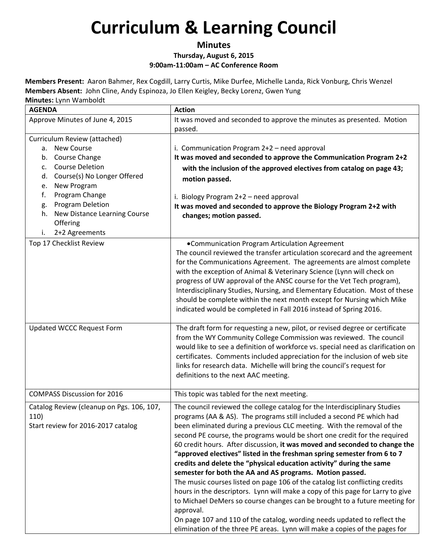**Minutes**

### **Thursday, August 6, 2015**

**9:00am‐11:00am – AC Conference Room**

**Members Present:** Aaron Bahmer, Rex Cogdill, Larry Curtis, Mike Durfee, Michelle Landa, Rick Vonburg, Chris Wenzel **Members Absent:** John Cline, Andy Espinoza, Jo Ellen Keigley, Becky Lorenz, Gwen Yung

| <b>AGENDA</b>                                                                                                                                                                                                                                                                                        | <b>Action</b>                                                                                                                                                                                                                                                                                                                                                                                                                                                                                                                                                                                                                                                                                                                                                                                                                                                                                                                                                                                                                   |
|------------------------------------------------------------------------------------------------------------------------------------------------------------------------------------------------------------------------------------------------------------------------------------------------------|---------------------------------------------------------------------------------------------------------------------------------------------------------------------------------------------------------------------------------------------------------------------------------------------------------------------------------------------------------------------------------------------------------------------------------------------------------------------------------------------------------------------------------------------------------------------------------------------------------------------------------------------------------------------------------------------------------------------------------------------------------------------------------------------------------------------------------------------------------------------------------------------------------------------------------------------------------------------------------------------------------------------------------|
| Approve Minutes of June 4, 2015                                                                                                                                                                                                                                                                      | It was moved and seconded to approve the minutes as presented. Motion<br>passed.                                                                                                                                                                                                                                                                                                                                                                                                                                                                                                                                                                                                                                                                                                                                                                                                                                                                                                                                                |
| Curriculum Review (attached)<br><b>New Course</b><br>а.<br>Course Change<br>b.<br><b>Course Deletion</b><br>c.<br>Course(s) No Longer Offered<br>d.<br>New Program<br>e.<br>Program Change<br>f.<br>Program Deletion<br>g.<br>New Distance Learning Course<br>h.<br>Offering<br>2+2 Agreements<br>i. | i. Communication Program 2+2 - need approval<br>It was moved and seconded to approve the Communication Program 2+2<br>with the inclusion of the approved electives from catalog on page 43;<br>motion passed.<br>i. Biology Program 2+2 - need approval<br>It was moved and seconded to approve the Biology Program 2+2 with<br>changes; motion passed.                                                                                                                                                                                                                                                                                                                                                                                                                                                                                                                                                                                                                                                                         |
| Top 17 Checklist Review                                                                                                                                                                                                                                                                              | •Communication Program Articulation Agreement<br>The council reviewed the transfer articulation scorecard and the agreement<br>for the Communications Agreement. The agreements are almost complete<br>with the exception of Animal & Veterinary Science (Lynn will check on<br>progress of UW approval of the ANSC course for the Vet Tech program),<br>Interdisciplinary Studies, Nursing, and Elementary Education. Most of these<br>should be complete within the next month except for Nursing which Mike<br>indicated would be completed in Fall 2016 instead of Spring 2016.                                                                                                                                                                                                                                                                                                                                                                                                                                             |
| <b>Updated WCCC Request Form</b>                                                                                                                                                                                                                                                                     | The draft form for requesting a new, pilot, or revised degree or certificate<br>from the WY Community College Commission was reviewed. The council<br>would like to see a definition of workforce vs. special need as clarification on<br>certificates. Comments included appreciation for the inclusion of web site<br>links for research data. Michelle will bring the council's request for<br>definitions to the next AAC meeting.                                                                                                                                                                                                                                                                                                                                                                                                                                                                                                                                                                                          |
| <b>COMPASS Discussion for 2016</b>                                                                                                                                                                                                                                                                   | This topic was tabled for the next meeting.                                                                                                                                                                                                                                                                                                                                                                                                                                                                                                                                                                                                                                                                                                                                                                                                                                                                                                                                                                                     |
| Catalog Review (cleanup on Pgs. 106, 107,<br>110)<br>Start review for 2016-2017 catalog                                                                                                                                                                                                              | The council reviewed the college catalog for the Interdisciplinary Studies<br>programs (AA & AS). The programs still included a second PE which had<br>been eliminated during a previous CLC meeting. With the removal of the<br>second PE course, the programs would be short one credit for the required<br>60 credit hours. After discussion, it was moved and seconded to change the<br>"approved electives" listed in the freshman spring semester from 6 to 7<br>credits and delete the "physical education activity" during the same<br>semester for both the AA and AS programs. Motion passed.<br>The music courses listed on page 106 of the catalog list conflicting credits<br>hours in the descriptors. Lynn will make a copy of this page for Larry to give<br>to Michael DeMers so course changes can be brought to a future meeting for<br>approval.<br>On page 107 and 110 of the catalog, wording needs updated to reflect the<br>elimination of the three PE areas. Lynn will make a copies of the pages for |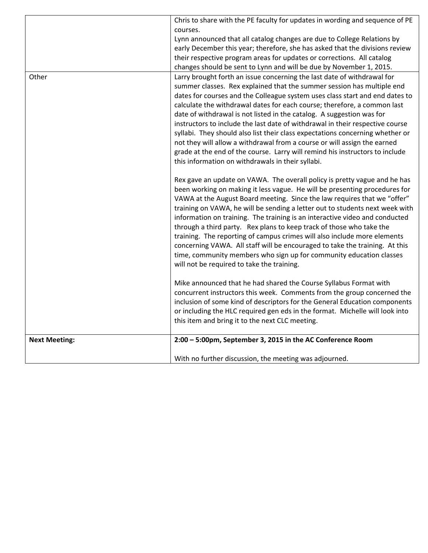|                      | Chris to share with the PE faculty for updates in wording and sequence of PE                                                                                                                                                                                                                                                                                                                                                                                                                                                                                                                                                                                                                                                                                              |
|----------------------|---------------------------------------------------------------------------------------------------------------------------------------------------------------------------------------------------------------------------------------------------------------------------------------------------------------------------------------------------------------------------------------------------------------------------------------------------------------------------------------------------------------------------------------------------------------------------------------------------------------------------------------------------------------------------------------------------------------------------------------------------------------------------|
|                      | courses.                                                                                                                                                                                                                                                                                                                                                                                                                                                                                                                                                                                                                                                                                                                                                                  |
|                      | Lynn announced that all catalog changes are due to College Relations by                                                                                                                                                                                                                                                                                                                                                                                                                                                                                                                                                                                                                                                                                                   |
|                      | early December this year; therefore, she has asked that the divisions review                                                                                                                                                                                                                                                                                                                                                                                                                                                                                                                                                                                                                                                                                              |
|                      | their respective program areas for updates or corrections. All catalog                                                                                                                                                                                                                                                                                                                                                                                                                                                                                                                                                                                                                                                                                                    |
|                      | changes should be sent to Lynn and will be due by November 1, 2015.                                                                                                                                                                                                                                                                                                                                                                                                                                                                                                                                                                                                                                                                                                       |
| Other                | Larry brought forth an issue concerning the last date of withdrawal for<br>summer classes. Rex explained that the summer session has multiple end<br>dates for courses and the Colleague system uses class start and end dates to<br>calculate the withdrawal dates for each course; therefore, a common last<br>date of withdrawal is not listed in the catalog. A suggestion was for<br>instructors to include the last date of withdrawal in their respective course<br>syllabi. They should also list their class expectations concerning whether or<br>not they will allow a withdrawal from a course or will assign the earned<br>grade at the end of the course. Larry will remind his instructors to include<br>this information on withdrawals in their syllabi. |
|                      | Rex gave an update on VAWA. The overall policy is pretty vague and he has<br>been working on making it less vague. He will be presenting procedures for<br>VAWA at the August Board meeting. Since the law requires that we "offer"<br>training on VAWA, he will be sending a letter out to students next week with<br>information on training. The training is an interactive video and conducted<br>through a third party. Rex plans to keep track of those who take the<br>training. The reporting of campus crimes will also include more elements<br>concerning VAWA. All staff will be encouraged to take the training. At this<br>time, community members who sign up for community education classes<br>will not be required to take the training.                |
|                      | Mike announced that he had shared the Course Syllabus Format with<br>concurrent instructors this week. Comments from the group concerned the<br>inclusion of some kind of descriptors for the General Education components<br>or including the HLC required gen eds in the format. Michelle will look into<br>this item and bring it to the next CLC meeting.                                                                                                                                                                                                                                                                                                                                                                                                             |
| <b>Next Meeting:</b> | 2:00 - 5:00pm, September 3, 2015 in the AC Conference Room                                                                                                                                                                                                                                                                                                                                                                                                                                                                                                                                                                                                                                                                                                                |
|                      |                                                                                                                                                                                                                                                                                                                                                                                                                                                                                                                                                                                                                                                                                                                                                                           |
|                      | With no further discussion, the meeting was adjourned.                                                                                                                                                                                                                                                                                                                                                                                                                                                                                                                                                                                                                                                                                                                    |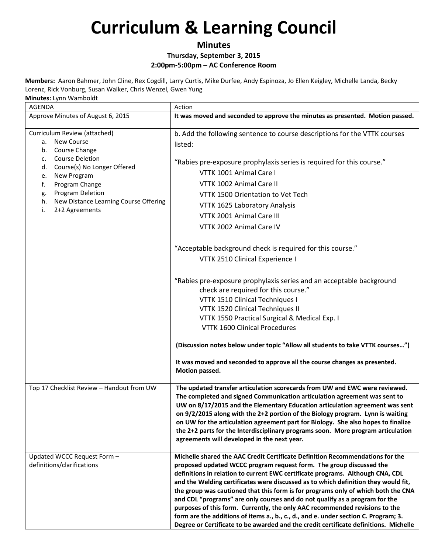### **Minutes**

### **Thursday, September 3, 2015**

#### **2:00pm‐5:00pm – AC Conference Room**

**Members:** Aaron Bahmer, John Cline, Rex Cogdill, Larry Curtis, Mike Durfee, Andy Espinoza, Jo Ellen Keigley, Michelle Landa, Becky Lorenz, Rick Vonburg, Susan Walker, Chris Wenzel, Gwen Yung

| <b>AGENDA</b>                                                                                                  | Action                                                                                                                                                                                                                                                                                                                                                                                                                                                                                                                                                                                                                                                                                                                                                         |
|----------------------------------------------------------------------------------------------------------------|----------------------------------------------------------------------------------------------------------------------------------------------------------------------------------------------------------------------------------------------------------------------------------------------------------------------------------------------------------------------------------------------------------------------------------------------------------------------------------------------------------------------------------------------------------------------------------------------------------------------------------------------------------------------------------------------------------------------------------------------------------------|
| Approve Minutes of August 6, 2015                                                                              | It was moved and seconded to approve the minutes as presented. Motion passed.                                                                                                                                                                                                                                                                                                                                                                                                                                                                                                                                                                                                                                                                                  |
| Curriculum Review (attached)<br><b>New Course</b><br>а.<br>b. Course Change                                    | b. Add the following sentence to course descriptions for the VTTK courses<br>listed:                                                                                                                                                                                                                                                                                                                                                                                                                                                                                                                                                                                                                                                                           |
| <b>Course Deletion</b><br>c.<br>Course(s) No Longer Offered<br>d.<br>New Program<br>e.<br>f.<br>Program Change | "Rabies pre-exposure prophylaxis series is required for this course."<br>VTTK 1001 Animal Care I<br>VTTK 1002 Animal Care II                                                                                                                                                                                                                                                                                                                                                                                                                                                                                                                                                                                                                                   |
| Program Deletion<br>g.<br>New Distance Learning Course Offering<br>h.<br>2+2 Agreements<br>i.                  | VTTK 1500 Orientation to Vet Tech<br>VTTK 1625 Laboratory Analysis                                                                                                                                                                                                                                                                                                                                                                                                                                                                                                                                                                                                                                                                                             |
|                                                                                                                | VTTK 2001 Animal Care III<br>VTTK 2002 Animal Care IV                                                                                                                                                                                                                                                                                                                                                                                                                                                                                                                                                                                                                                                                                                          |
|                                                                                                                | "Acceptable background check is required for this course."<br>VTTK 2510 Clinical Experience I                                                                                                                                                                                                                                                                                                                                                                                                                                                                                                                                                                                                                                                                  |
|                                                                                                                | "Rabies pre-exposure prophylaxis series and an acceptable background<br>check are required for this course."<br>VTTK 1510 Clinical Techniques I<br>VTTK 1520 Clinical Techniques II<br>VTTK 1550 Practical Surgical & Medical Exp. I<br><b>VTTK 1600 Clinical Procedures</b>                                                                                                                                                                                                                                                                                                                                                                                                                                                                                   |
|                                                                                                                | (Discussion notes below under topic "Allow all students to take VTTK courses")                                                                                                                                                                                                                                                                                                                                                                                                                                                                                                                                                                                                                                                                                 |
|                                                                                                                | It was moved and seconded to approve all the course changes as presented.<br>Motion passed.                                                                                                                                                                                                                                                                                                                                                                                                                                                                                                                                                                                                                                                                    |
| Top 17 Checklist Review - Handout from UW                                                                      | The updated transfer articulation scorecards from UW and EWC were reviewed.<br>The completed and signed Communication articulation agreement was sent to<br>UW on 8/17/2015 and the Elementary Education articulation agreement was sent<br>on 9/2/2015 along with the 2+2 portion of the Biology program. Lynn is waiting<br>on UW for the articulation agreement part for Biology. She also hopes to finalize<br>the 2+2 parts for the Interdisciplinary programs soon. More program articulation<br>agreements will developed in the next year.                                                                                                                                                                                                             |
| Updated WCCC Request Form -<br>definitions/clarifications                                                      | Michelle shared the AAC Credit Certificate Definition Recommendations for the<br>proposed updated WCCC program request form. The group discussed the<br>definitions in relation to current EWC certificate programs. Although CNA, CDL<br>and the Welding certificates were discussed as to which definition they would fit,<br>the group was cautioned that this form is for programs only of which both the CNA<br>and CDL "programs" are only courses and do not qualify as a program for the<br>purposes of this form. Currently, the only AAC recommended revisions to the<br>form are the additions of items a., b., c., d., and e. under section C. Program; 3.<br>Degree or Certificate to be awarded and the credit certificate definitions. Michelle |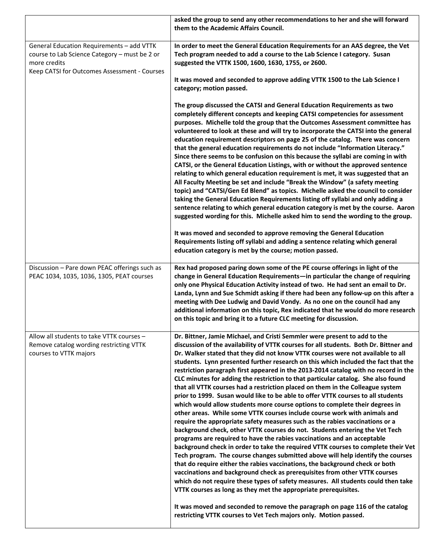| asked the group to send any other recommendations to her and she will forward<br>them to the Academic Affairs Council.                                                                                                                                                                                                                                                                                                                                                                                                                                                                                                                                                                                                                                                                                                                                                                                                                                                                                                                                                                                                                                                                                                                                                                                                                                                                                                                                                                                                                                                                                                                                                                                                                                |
|-------------------------------------------------------------------------------------------------------------------------------------------------------------------------------------------------------------------------------------------------------------------------------------------------------------------------------------------------------------------------------------------------------------------------------------------------------------------------------------------------------------------------------------------------------------------------------------------------------------------------------------------------------------------------------------------------------------------------------------------------------------------------------------------------------------------------------------------------------------------------------------------------------------------------------------------------------------------------------------------------------------------------------------------------------------------------------------------------------------------------------------------------------------------------------------------------------------------------------------------------------------------------------------------------------------------------------------------------------------------------------------------------------------------------------------------------------------------------------------------------------------------------------------------------------------------------------------------------------------------------------------------------------------------------------------------------------------------------------------------------------|
| In order to meet the General Education Requirements for an AAS degree, the Vet<br>Tech program needed to add a course to the Lab Science I category. Susan<br>suggested the VTTK 1500, 1600, 1630, 1755, or 2600.                                                                                                                                                                                                                                                                                                                                                                                                                                                                                                                                                                                                                                                                                                                                                                                                                                                                                                                                                                                                                                                                                                                                                                                                                                                                                                                                                                                                                                                                                                                                     |
| It was moved and seconded to approve adding VTTK 1500 to the Lab Science I<br>category; motion passed.                                                                                                                                                                                                                                                                                                                                                                                                                                                                                                                                                                                                                                                                                                                                                                                                                                                                                                                                                                                                                                                                                                                                                                                                                                                                                                                                                                                                                                                                                                                                                                                                                                                |
| The group discussed the CATSI and General Education Requirements as two<br>completely different concepts and keeping CATSI competencies for assessment<br>purposes. Michelle told the group that the Outcomes Assessment committee has<br>volunteered to look at these and will try to incorporate the CATSI into the general<br>education requirement descriptors on page 25 of the catalog. There was concern<br>that the general education requirements do not include "Information Literacy."<br>Since there seems to be confusion on this because the syllabi are coming in with<br>CATSI, or the General Education Listings, with or without the approved sentence<br>relating to which general education requirement is met, it was suggested that an<br>All Faculty Meeting be set and include "Break the Window" (a safety meeting<br>topic) and "CATSI/Gen Ed Blend" as topics. Michelle asked the council to consider<br>taking the General Education Requirements listing off syllabi and only adding a<br>sentence relating to which general education category is met by the course. Aaron<br>suggested wording for this. Michelle asked him to send the wording to the group.                                                                                                                                                                                                                                                                                                                                                                                                                                                                                                                                                          |
| It was moved and seconded to approve removing the General Education<br>Requirements listing off syllabi and adding a sentence relating which general<br>education category is met by the course; motion passed.                                                                                                                                                                                                                                                                                                                                                                                                                                                                                                                                                                                                                                                                                                                                                                                                                                                                                                                                                                                                                                                                                                                                                                                                                                                                                                                                                                                                                                                                                                                                       |
| Rex had proposed paring down some of the PE course offerings in light of the<br>change in General Education Requirements-in particular the change of requiring<br>only one Physical Education Activity instead of two. He had sent an email to Dr.<br>Landa, Lynn and Sue Schmidt asking if there had been any follow-up on this after a<br>meeting with Dee Ludwig and David Vondy. As no one on the council had any<br>additional information on this topic, Rex indicated that he would do more research<br>on this topic and bring it to a future CLC meeting for discussion.                                                                                                                                                                                                                                                                                                                                                                                                                                                                                                                                                                                                                                                                                                                                                                                                                                                                                                                                                                                                                                                                                                                                                                     |
| Dr. Bittner, Jamie Michael, and Cristi Semmler were present to add to the<br>discussion of the availability of VTTK courses for all students. Both Dr. Bittner and<br>Dr. Walker stated that they did not know VTTK courses were not available to all<br>students. Lynn presented further research on this which included the fact that the<br>restriction paragraph first appeared in the 2013-2014 catalog with no record in the<br>CLC minutes for adding the restriction to that particular catalog. She also found<br>that all VTTK courses had a restriction placed on them in the Colleague system<br>prior to 1999. Susan would like to be able to offer VTTK courses to all students<br>which would allow students more course options to complete their degrees in<br>other areas. While some VTTK courses include course work with animals and<br>require the appropriate safety measures such as the rabies vaccinations or a<br>background check, other VTTK courses do not. Students entering the Vet Tech<br>programs are required to have the rabies vaccinations and an acceptable<br>background check in order to take the required VTTK courses to complete their Vet<br>Tech program. The course changes submitted above will help identify the courses<br>that do require either the rabies vaccinations, the background check or both<br>vaccinations and background check as prerequisites from other VTTK courses<br>which do not require these types of safety measures. All students could then take<br>VTTK courses as long as they met the appropriate prerequisites.<br>It was moved and seconded to remove the paragraph on page 116 of the catalog<br>restricting VTTK courses to Vet Tech majors only. Motion passed. |
|                                                                                                                                                                                                                                                                                                                                                                                                                                                                                                                                                                                                                                                                                                                                                                                                                                                                                                                                                                                                                                                                                                                                                                                                                                                                                                                                                                                                                                                                                                                                                                                                                                                                                                                                                       |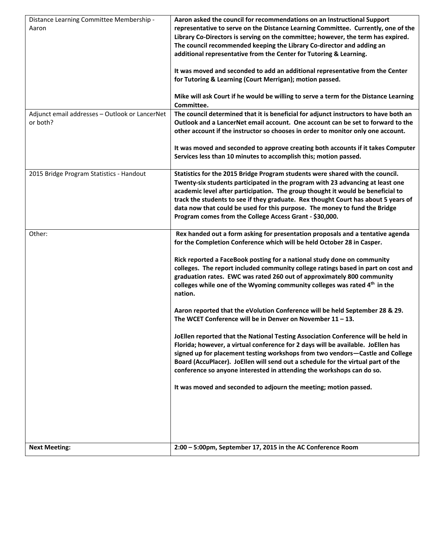| Distance Learning Committee Membership -<br>Aaron          | Aaron asked the council for recommendations on an Instructional Support<br>representative to serve on the Distance Learning Committee. Currently, one of the<br>Library Co-Directors is serving on the committee; however, the term has expired.<br>The council recommended keeping the Library Co-director and adding an<br>additional representative from the Center for Tutoring & Learning.<br>It was moved and seconded to add an additional representative from the Center<br>for Tutoring & Learning (Court Merrigan); motion passed.<br>Mike will ask Court if he would be willing to serve a term for the Distance Learning<br>Committee.                                                                                                                                                                                                                                                                                                                                                                                                                                                                                                 |
|------------------------------------------------------------|----------------------------------------------------------------------------------------------------------------------------------------------------------------------------------------------------------------------------------------------------------------------------------------------------------------------------------------------------------------------------------------------------------------------------------------------------------------------------------------------------------------------------------------------------------------------------------------------------------------------------------------------------------------------------------------------------------------------------------------------------------------------------------------------------------------------------------------------------------------------------------------------------------------------------------------------------------------------------------------------------------------------------------------------------------------------------------------------------------------------------------------------------|
| Adjunct email addresses - Outlook or LancerNet<br>or both? | The council determined that it is beneficial for adjunct instructors to have both an<br>Outlook and a LancerNet email account. One account can be set to forward to the<br>other account if the instructor so chooses in order to monitor only one account.<br>It was moved and seconded to approve creating both accounts if it takes Computer<br>Services less than 10 minutes to accomplish this; motion passed.                                                                                                                                                                                                                                                                                                                                                                                                                                                                                                                                                                                                                                                                                                                                |
| 2015 Bridge Program Statistics - Handout                   | Statistics for the 2015 Bridge Program students were shared with the council.<br>Twenty-six students participated in the program with 23 advancing at least one<br>academic level after participation. The group thought it would be beneficial to<br>track the students to see if they graduate. Rex thought Court has about 5 years of<br>data now that could be used for this purpose. The money to fund the Bridge<br>Program comes from the College Access Grant - \$30,000.                                                                                                                                                                                                                                                                                                                                                                                                                                                                                                                                                                                                                                                                  |
| Other:                                                     | Rex handed out a form asking for presentation proposals and a tentative agenda<br>for the Completion Conference which will be held October 28 in Casper.<br>Rick reported a FaceBook posting for a national study done on community<br>colleges. The report included community college ratings based in part on cost and<br>graduation rates. EWC was rated 260 out of approximately 800 community<br>colleges while one of the Wyoming community colleges was rated 4 <sup>th</sup> in the<br>nation.<br>Aaron reported that the eVolution Conference will be held September 28 & 29.<br>The WCET Conference will be in Denver on November $11 - 13$ .<br>JoEllen reported that the National Testing Association Conference will be held in<br>Florida; however, a virtual conference for 2 days will be available. JoEllen has<br>signed up for placement testing workshops from two vendors-Castle and College<br>Board (AccuPlacer). JoEllen will send out a schedule for the virtual part of the<br>conference so anyone interested in attending the workshops can do so.<br>It was moved and seconded to adjourn the meeting; motion passed. |
| <b>Next Meeting:</b>                                       | 2:00 - 5:00pm, September 17, 2015 in the AC Conference Room                                                                                                                                                                                                                                                                                                                                                                                                                                                                                                                                                                                                                                                                                                                                                                                                                                                                                                                                                                                                                                                                                        |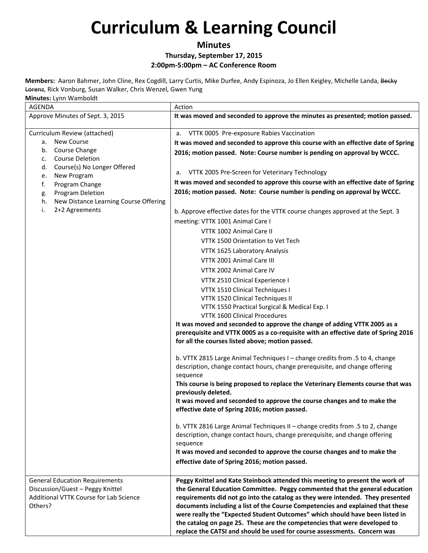**Minutes**

**Thursday, September 17, 2015**

**2:00pm‐5:00pm – AC Conference Room**

**Members:** Aaron Bahmer, John Cline, Rex Cogdill, Larry Curtis, Mike Durfee, Andy Espinoza, Jo Ellen Keigley, Michelle Landa, Becky Lorenz, Rick Vonburg, Susan Walker, Chris Wenzel, Gwen Yung

**Minutes:** Lynn Wamboldt AGENDA Action Approve Minutes of Sept. 3, 2015 **It was moved and seconded to approve the minutes as presented; motion passed.** Curriculum Review (attached) a. New Course b. Course Change c. Course Deletion d. Course(s) No Longer Offered e. New Program f. Program Change g. Program Deletion h. New Distance Learning Course Offering i. 2+2 Agreements a. VTTK 0005 Pre‐exposure Rabies Vaccination **It was moved and seconded to approve this course with an effective date of Spring 2016; motion passed. Note: Course number is pending on approval by WCCC.** a. VTTK 2005 Pre‐Screen for Veterinary Technology **It was moved and seconded to approve this course with an effective date of Spring 2016; motion passed. Note: Course number is pending on approval by WCCC.** b. Approve effective dates for the VTTK course changes approved at the Sept. 3 meeting: VTTK 1001 Animal Care I VTTK 1002 Animal Care II VTTK 1500 Orientation to Vet Tech VTTK 1625 Laboratory Analysis VTTK 2001 Animal Care III VTTK 2002 Animal Care IV VTTK 2510 Clinical Experience I VTTK 1510 Clinical Techniques I VTTK 1520 Clinical Techniques II VTTK 1550 Practical Surgical & Medical Exp. I VTTK 1600 Clinical Procedures **It was moved and seconded to approve the change of adding VTTK 2005 as a prerequisite and VTTK 0005 as a co‐requisite with an effective date of Spring 2016 for all the courses listed above; motion passed.** b. VTTK 2815 Large Animal Techniques I – change credits from .5 to 4, change description, change contact hours, change prerequisite, and change offering sequence **This course is being proposed to replace the Veterinary Elements course that was previously deleted. It was moved and seconded to approve the course changes and to make the effective date of Spring 2016; motion passed.** b. VTTK 2816 Large Animal Techniques II – change credits from .5 to 2, change description, change contact hours, change prerequisite, and change offering sequence **It was moved and seconded to approve the course changes and to make the effective date of Spring 2016; motion passed.** General Education Requirements Discussion/Guest – Peggy Knittel Additional VTTK Course for Lab Science Others? **Peggy Knittel and Kate Steinbock attended this meeting to present the work of the General Education Committee. Peggy commented that the general education requirements did not go into the catalog as they were intended. They presented documents including a list of the Course Competencies and explained that these were really the "Expected Student Outcomes" which should have been listed in**

> **the catalog on page 25. These are the competencies that were developed to replace the CATSI and should be used for course assessments. Concern was**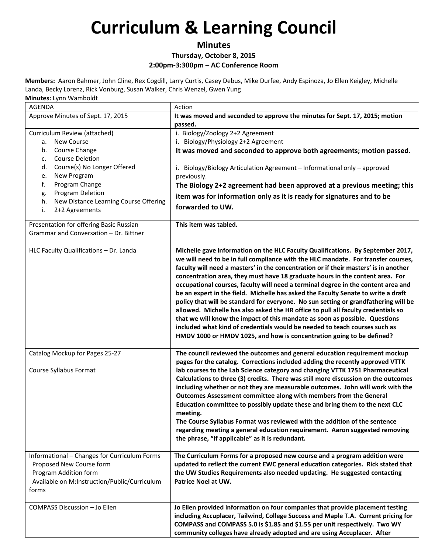**Minutes**

**Thursday, October 8, 2015**

**2:00pm‐3:300pm – AC Conference Room**

**Members:** Aaron Bahmer, John Cline, Rex Cogdill, Larry Curtis, Casey Debus, Mike Durfee, Andy Espinoza, Jo Ellen Keigley, Michelle Landa, Becky Lorenz, Rick Vonburg, Susan Walker, Chris Wenzel, Gwen Yung

| <b>AGENDA</b>                                     | Action                                                                                                                                                          |
|---------------------------------------------------|-----------------------------------------------------------------------------------------------------------------------------------------------------------------|
| Approve Minutes of Sept. 17, 2015                 | It was moved and seconded to approve the minutes for Sept. 17, 2015; motion                                                                                     |
|                                                   | passed.                                                                                                                                                         |
| Curriculum Review (attached)                      | i. Biology/Zoology 2+2 Agreement                                                                                                                                |
| <b>New Course</b><br>а.                           | i. Biology/Physiology 2+2 Agreement                                                                                                                             |
| Course Change<br>b.                               | It was moved and seconded to approve both agreements; motion passed.                                                                                            |
| <b>Course Deletion</b><br>$\mathsf{C}$ .          |                                                                                                                                                                 |
| Course(s) No Longer Offered<br>d.                 | i. Biology/Biology Articulation Agreement - Informational only - approved                                                                                       |
| New Program<br>e.                                 | previously.                                                                                                                                                     |
| f.<br>Program Change                              | The Biology 2+2 agreement had been approved at a previous meeting; this                                                                                         |
| Program Deletion<br>g.                            | item was for information only as it is ready for signatures and to be                                                                                           |
| New Distance Learning Course Offering<br>h.       | forwarded to UW.                                                                                                                                                |
| 2+2 Agreements<br>i.                              |                                                                                                                                                                 |
| Presentation for offering Basic Russian           | This item was tabled.                                                                                                                                           |
| Grammar and Conversation - Dr. Bittner            |                                                                                                                                                                 |
|                                                   |                                                                                                                                                                 |
| HLC Faculty Qualifications - Dr. Landa            | Michelle gave information on the HLC Faculty Qualifications. By September 2017,                                                                                 |
|                                                   | we will need to be in full compliance with the HLC mandate. For transfer courses,                                                                               |
|                                                   | faculty will need a masters' in the concentration or if their masters' is in another                                                                            |
|                                                   | concentration area, they must have 18 graduate hours in the content area. For                                                                                   |
|                                                   | occupational courses, faculty will need a terminal degree in the content area and                                                                               |
|                                                   | be an expert in the field. Michelle has asked the Faculty Senate to write a draft                                                                               |
|                                                   | policy that will be standard for everyone. No sun setting or grandfathering will be                                                                             |
|                                                   | allowed. Michelle has also asked the HR office to pull all faculty credentials so                                                                               |
|                                                   | that we will know the impact of this mandate as soon as possible. Questions                                                                                     |
|                                                   | included what kind of credentials would be needed to teach courses such as                                                                                      |
|                                                   | HMDV 1000 or HMDV 1025, and how is concentration going to be defined?                                                                                           |
|                                                   |                                                                                                                                                                 |
| Catalog Mockup for Pages 25-27                    | The council reviewed the outcomes and general education requirement mockup                                                                                      |
|                                                   | pages for the catalog. Corrections included adding the recently approved VTTK                                                                                   |
| Course Syllabus Format                            | lab courses to the Lab Science category and changing VTTK 1751 Pharmaceutical                                                                                   |
|                                                   | Calculations to three (3) credits. There was still more discussion on the outcomes                                                                              |
|                                                   | including whether or not they are measurable outcomes. John will work with the                                                                                  |
|                                                   | Outcomes Assessment committee along with members from the General                                                                                               |
|                                                   | Education committee to possibly update these and bring them to the next CLC                                                                                     |
|                                                   | meeting.                                                                                                                                                        |
|                                                   | The Course Syllabus Format was reviewed with the addition of the sentence                                                                                       |
|                                                   | regarding meeting a general education requirement. Aaron suggested removing                                                                                     |
|                                                   | the phrase, "If applicable" as it is redundant.                                                                                                                 |
|                                                   |                                                                                                                                                                 |
| Informational - Changes for Curriculum Forms      | The Curriculum Forms for a proposed new course and a program addition were<br>updated to reflect the current EWC general education categories. Rick stated that |
| Proposed New Course form<br>Program Addition form | the UW Studies Requirements also needed updating. He suggested contacting                                                                                       |
| Available on M:Instruction/Public/Curriculum      | <b>Patrice Noel at UW.</b>                                                                                                                                      |
| forms                                             |                                                                                                                                                                 |
|                                                   |                                                                                                                                                                 |
| COMPASS Discussion - Jo Ellen                     | Jo Ellen provided information on four companies that provide placement testing                                                                                  |
|                                                   | including Accuplacer, Tailwind, College Success and Maple T.A. Current pricing for                                                                              |
|                                                   | COMPASS and COMPASS 5.0 is \$1.85 and \$1.55 per unit respectively. Two WY                                                                                      |
|                                                   | community colleges have already adopted and are using Accuplacer. After                                                                                         |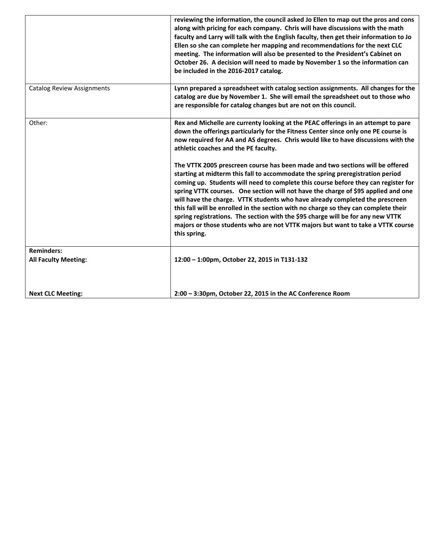|                                                  | reviewing the information, the council asked Jo Ellen to map out the pros and cons<br>along with pricing for each company. Chris will have discussions with the math<br>faculty and Larry will talk with the English faculty, then get their information to Jo<br>Ellen so she can complete her mapping and recommendations for the next CLC<br>meeting. The information will also be presented to the President's Cabinet on<br>October 26. A decision will need to made by November 1 so the information can<br>be included in the 2016-2017 catalog.                                                                                                                                                 |
|--------------------------------------------------|---------------------------------------------------------------------------------------------------------------------------------------------------------------------------------------------------------------------------------------------------------------------------------------------------------------------------------------------------------------------------------------------------------------------------------------------------------------------------------------------------------------------------------------------------------------------------------------------------------------------------------------------------------------------------------------------------------|
| <b>Catalog Review Assignments</b>                | Lynn prepared a spreadsheet with catalog section assignments. All changes for the<br>catalog are due by November 1. She will email the spreadsheet out to those who<br>are responsible for catalog changes but are not on this council.                                                                                                                                                                                                                                                                                                                                                                                                                                                                 |
| Other:                                           | Rex and Michelle are currenty looking at the PEAC offerings in an attempt to pare<br>down the offerings particularly for the Fitness Center since only one PE course is<br>now required for AA and AS degrees. Chris would like to have discussions with the<br>athletic coaches and the PE faculty.                                                                                                                                                                                                                                                                                                                                                                                                    |
|                                                  | The VTTK 2005 prescreen course has been made and two sections will be offered<br>starting at midterm this fall to accommodate the spring preregistration period<br>coming up. Students will need to complete this course before they can register for<br>spring VTTK courses. One section will not have the charge of \$95 applied and one<br>will have the charge. VTTK students who have already completed the prescreen<br>this fall will be enrolled in the section with no charge so they can complete their<br>spring registrations. The section with the \$95 charge will be for any new VTTK<br>majors or those students who are not VTTK majors but want to take a VTTK course<br>this spring. |
| <b>Reminders:</b><br><b>All Faculty Meeting:</b> | 12:00 - 1:00pm, October 22, 2015 in T131-132                                                                                                                                                                                                                                                                                                                                                                                                                                                                                                                                                                                                                                                            |
| <b>Next CLC Meeting:</b>                         | 2:00 - 3:30pm, October 22, 2015 in the AC Conference Room                                                                                                                                                                                                                                                                                                                                                                                                                                                                                                                                                                                                                                               |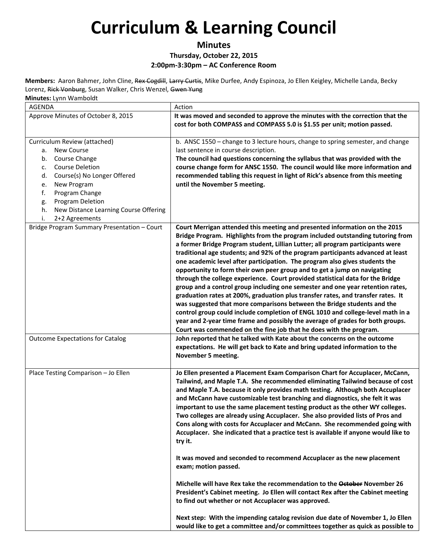### **Minutes**

#### **Thursday, October 22, 2015**

#### **2:00pm‐3:30pm – AC Conference Room**

**Members:** Aaron Bahmer, John Cline, Rex Cogdill, Larry Curtis, Mike Durfee, Andy Espinoza, Jo Ellen Keigley, Michelle Landa, Becky Lorenz, Rick Vonburg, Susan Walker, Chris Wenzel, Gwen Yung

|  |  | Minutes: Lynn Wamboldt |
|--|--|------------------------|
|--|--|------------------------|

| <b>AGENDA</b>                                                                                                                                                                                                                                                                                            | Action                                                                                                                                                                                                                                                                                                                                                                                                                                                                                                                                                                                                                                                                                                                                                                                                                                                                                                                                                                                                                                                                     |
|----------------------------------------------------------------------------------------------------------------------------------------------------------------------------------------------------------------------------------------------------------------------------------------------------------|----------------------------------------------------------------------------------------------------------------------------------------------------------------------------------------------------------------------------------------------------------------------------------------------------------------------------------------------------------------------------------------------------------------------------------------------------------------------------------------------------------------------------------------------------------------------------------------------------------------------------------------------------------------------------------------------------------------------------------------------------------------------------------------------------------------------------------------------------------------------------------------------------------------------------------------------------------------------------------------------------------------------------------------------------------------------------|
| Approve Minutes of October 8, 2015                                                                                                                                                                                                                                                                       | It was moved and seconded to approve the minutes with the correction that the<br>cost for both COMPASS and COMPASS 5.0 is \$1.55 per unit; motion passed.                                                                                                                                                                                                                                                                                                                                                                                                                                                                                                                                                                                                                                                                                                                                                                                                                                                                                                                  |
| Curriculum Review (attached)<br><b>New Course</b><br>а.<br>Course Change<br>b.<br><b>Course Deletion</b><br>c.<br>Course(s) No Longer Offered<br>d.<br>New Program<br>e.<br>f.<br>Program Change<br><b>Program Deletion</b><br>g.<br>New Distance Learning Course Offering<br>h.<br>i.<br>2+2 Agreements | b. ANSC 1550 - change to 3 lecture hours, change to spring semester, and change<br>last sentence in course description.<br>The council had questions concerning the syllabus that was provided with the<br>course change form for ANSC 1550. The council would like more information and<br>recommended tabling this request in light of Rick's absence from this meeting<br>until the November 5 meeting.                                                                                                                                                                                                                                                                                                                                                                                                                                                                                                                                                                                                                                                                 |
| Bridge Program Summary Presentation - Court                                                                                                                                                                                                                                                              | Court Merrigan attended this meeting and presented information on the 2015<br>Bridge Program. Highlights from the program included outstanding tutoring from<br>a former Bridge Program student, Lillian Lutter; all program participants were<br>traditional age students; and 92% of the program participants advanced at least<br>one academic level after participation. The program also gives students the<br>opportunity to form their own peer group and to get a jump on navigating<br>through the college experience. Court provided statistical data for the Bridge<br>group and a control group including one semester and one year retention rates,<br>graduation rates at 200%, graduation plus transfer rates, and transfer rates. It<br>was suggested that more comparisons between the Bridge students and the<br>control group could include completion of ENGL 1010 and college-level math in a<br>year and 2-year time frame and possibly the average of grades for both groups.<br>Court was commended on the fine job that he does with the program. |
| <b>Outcome Expectations for Catalog</b>                                                                                                                                                                                                                                                                  | John reported that he talked with Kate about the concerns on the outcome<br>expectations. He will get back to Kate and bring updated information to the<br>November 5 meeting.                                                                                                                                                                                                                                                                                                                                                                                                                                                                                                                                                                                                                                                                                                                                                                                                                                                                                             |
| Place Testing Comparison - Jo Ellen                                                                                                                                                                                                                                                                      | Jo Ellen presented a Placement Exam Comparison Chart for Accuplacer, McCann,<br>Tailwind, and Maple T.A. She recommended eliminating Tailwind because of cost<br>and Maple T.A. because it only provides math testing. Although both Accuplacer<br>and McCann have customizable test branching and diagnostics, she felt it was<br>important to use the same placement testing product as the other WY colleges.<br>Two colleges are already using Accuplacer. She also provided lists of Pros and<br>Cons along with costs for Accuplacer and McCann. She recommended going with<br>Accuplacer. She indicated that a practice test is available if anyone would like to<br>try it.                                                                                                                                                                                                                                                                                                                                                                                        |
|                                                                                                                                                                                                                                                                                                          | It was moved and seconded to recommend Accuplacer as the new placement<br>exam; motion passed.                                                                                                                                                                                                                                                                                                                                                                                                                                                                                                                                                                                                                                                                                                                                                                                                                                                                                                                                                                             |
|                                                                                                                                                                                                                                                                                                          | Michelle will have Rex take the recommendation to the October November 26<br>President's Cabinet meeting. Jo Ellen will contact Rex after the Cabinet meeting<br>to find out whether or not Accuplacer was approved.                                                                                                                                                                                                                                                                                                                                                                                                                                                                                                                                                                                                                                                                                                                                                                                                                                                       |
|                                                                                                                                                                                                                                                                                                          | Next step: With the impending catalog revision due date of November 1, Jo Ellen<br>would like to get a committee and/or committees together as quick as possible to                                                                                                                                                                                                                                                                                                                                                                                                                                                                                                                                                                                                                                                                                                                                                                                                                                                                                                        |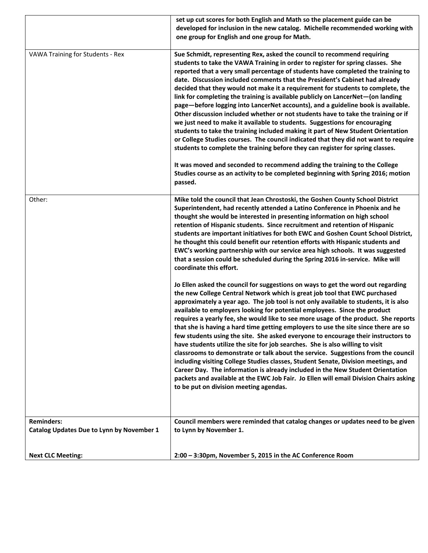|                                                                       | set up cut scores for both English and Math so the placement guide can be<br>developed for inclusion in the new catalog. Michelle recommended working with<br>one group for English and one group for Math.                                                                                                                                                                                                                                                                                                                                                                                                                                                                                                                                                                                                                                                                                                                                                                                                                                                                                                                                                                                         |
|-----------------------------------------------------------------------|-----------------------------------------------------------------------------------------------------------------------------------------------------------------------------------------------------------------------------------------------------------------------------------------------------------------------------------------------------------------------------------------------------------------------------------------------------------------------------------------------------------------------------------------------------------------------------------------------------------------------------------------------------------------------------------------------------------------------------------------------------------------------------------------------------------------------------------------------------------------------------------------------------------------------------------------------------------------------------------------------------------------------------------------------------------------------------------------------------------------------------------------------------------------------------------------------------|
| VAWA Training for Students - Rex                                      | Sue Schmidt, representing Rex, asked the council to recommend requiring<br>students to take the VAWA Training in order to register for spring classes. She<br>reported that a very small percentage of students have completed the training to<br>date. Discussion included comments that the President's Cabinet had already<br>decided that they would not make it a requirement for students to complete, the<br>link for completing the training is available publicly on LancerNet-(on landing<br>page-before logging into LancerNet accounts), and a guideline book is available.<br>Other discussion included whether or not students have to take the training or if<br>we just need to make it available to students. Suggestions for encouraging<br>students to take the training included making it part of New Student Orientation<br>or College Studies courses. The council indicated that they did not want to require<br>students to complete the training before they can register for spring classes.<br>It was moved and seconded to recommend adding the training to the College<br>Studies course as an activity to be completed beginning with Spring 2016; motion<br>passed. |
| Other:                                                                | Mike told the council that Jean Chrostoski, the Goshen County School District<br>Superintendent, had recently attended a Latino Conference in Phoenix and he<br>thought she would be interested in presenting information on high school<br>retention of Hispanic students. Since recruitment and retention of Hispanic<br>students are important initiatives for both EWC and Goshen Count School District,<br>he thought this could benefit our retention efforts with Hispanic students and<br>EWC's working partnership with our service area high schools. It was suggested<br>that a session could be scheduled during the Spring 2016 in-service. Mike will<br>coordinate this effort.                                                                                                                                                                                                                                                                                                                                                                                                                                                                                                       |
|                                                                       | Jo Ellen asked the council for suggestions on ways to get the word out regarding<br>the new College Central Network which is great job tool that EWC purchased<br>approximately a year ago. The job tool is not only available to students, it is also<br>available to employers looking for potential employees. Since the product<br>requires a yearly fee, she would like to see more usage of the product. She reports<br>that she is having a hard time getting employers to use the site since there are so<br>few students using the site. She asked everyone to encourage their instructors to<br>have students utilize the site for job searches. She is also willing to visit<br>classrooms to demonstrate or talk about the service. Suggestions from the council<br>including visiting College Studies classes, Student Senate, Division meetings, and<br>Career Day. The information is already included in the New Student Orientation<br>packets and available at the EWC Job Fair. Jo Ellen will email Division Chairs asking<br>to be put on division meeting agendas.                                                                                                             |
| <b>Reminders:</b><br><b>Catalog Updates Due to Lynn by November 1</b> | Council members were reminded that catalog changes or updates need to be given<br>to Lynn by November 1.                                                                                                                                                                                                                                                                                                                                                                                                                                                                                                                                                                                                                                                                                                                                                                                                                                                                                                                                                                                                                                                                                            |
| <b>Next CLC Meeting:</b>                                              | 2:00 - 3:30pm, November 5, 2015 in the AC Conference Room                                                                                                                                                                                                                                                                                                                                                                                                                                                                                                                                                                                                                                                                                                                                                                                                                                                                                                                                                                                                                                                                                                                                           |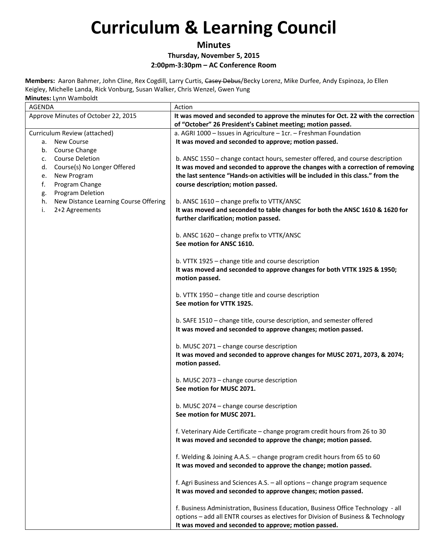**Minutes**

**Thursday, November 5, 2015**

**2:00pm‐3:30pm – AC Conference Room**

**Members:** Aaron Bahmer, John Cline, Rex Cogdill, Larry Curtis, Casey Debus/Becky Lorenz, Mike Durfee, Andy Espinoza, Jo Ellen Keigley, Michelle Landa, Rick Vonburg, Susan Walker, Chris Wenzel, Gwen Yung

| <b>AGENDA</b>                               | Action                                                                                                                                          |
|---------------------------------------------|-------------------------------------------------------------------------------------------------------------------------------------------------|
| Approve Minutes of October 22, 2015         | It was moved and seconded to approve the minutes for Oct. 22 with the correction<br>of "October" 26 President's Cabinet meeting; motion passed. |
| Curriculum Review (attached)                | a. AGRI 1000 - Issues in Agriculture - 1cr. - Freshman Foundation                                                                               |
| a. New Course                               | It was moved and seconded to approve; motion passed.                                                                                            |
| Course Change<br>b.                         |                                                                                                                                                 |
| <b>Course Deletion</b><br>c.                | b. ANSC 1550 - change contact hours, semester offered, and course description                                                                   |
| Course(s) No Longer Offered<br>d.           | It was moved and seconded to approve the changes with a correction of removing                                                                  |
| New Program<br>e.                           | the last sentence "Hands-on activities will be included in this class." from the                                                                |
| f.<br>Program Change                        | course description; motion passed.                                                                                                              |
| <b>Program Deletion</b><br>g.               |                                                                                                                                                 |
| New Distance Learning Course Offering<br>h. | b. ANSC 1610 - change prefix to VTTK/ANSC                                                                                                       |
| 2+2 Agreements<br>i.                        | It was moved and seconded to table changes for both the ANSC 1610 & 1620 for                                                                    |
|                                             | further clarification; motion passed.                                                                                                           |
|                                             |                                                                                                                                                 |
|                                             | b. ANSC 1620 - change prefix to VTTK/ANSC                                                                                                       |
|                                             | See motion for ANSC 1610.                                                                                                                       |
|                                             |                                                                                                                                                 |
|                                             | b. VTTK 1925 - change title and course description                                                                                              |
|                                             | It was moved and seconded to approve changes for both VTTK 1925 & 1950;                                                                         |
|                                             | motion passed.                                                                                                                                  |
|                                             |                                                                                                                                                 |
|                                             | b. VTTK 1950 - change title and course description                                                                                              |
|                                             | See motion for VTTK 1925.                                                                                                                       |
|                                             |                                                                                                                                                 |
|                                             | b. SAFE 1510 - change title, course description, and semester offered                                                                           |
|                                             | It was moved and seconded to approve changes; motion passed.                                                                                    |
|                                             |                                                                                                                                                 |
|                                             | b. MUSC 2071 - change course description<br>It was moved and seconded to approve changes for MUSC 2071, 2073, & 2074;                           |
|                                             | motion passed.                                                                                                                                  |
|                                             |                                                                                                                                                 |
|                                             | b. MUSC 2073 - change course description                                                                                                        |
|                                             | See motion for MUSC 2071.                                                                                                                       |
|                                             |                                                                                                                                                 |
|                                             | b. MUSC 2074 - change course description                                                                                                        |
|                                             | See motion for MUSC 2071.                                                                                                                       |
|                                             |                                                                                                                                                 |
|                                             | f. Veterinary Aide Certificate - change program credit hours from 26 to 30                                                                      |
|                                             | It was moved and seconded to approve the change; motion passed.                                                                                 |
|                                             |                                                                                                                                                 |
|                                             | f. Welding & Joining A.A.S. - change program credit hours from 65 to 60                                                                         |
|                                             | It was moved and seconded to approve the change; motion passed.                                                                                 |
|                                             |                                                                                                                                                 |
|                                             | f. Agri Business and Sciences A.S. - all options - change program sequence                                                                      |
|                                             | It was moved and seconded to approve changes; motion passed.                                                                                    |
|                                             |                                                                                                                                                 |
|                                             | f. Business Administration, Business Education, Business Office Technology - all                                                                |
|                                             | options - add all ENTR courses as electives for Division of Business & Technology                                                               |
|                                             | It was moved and seconded to approve; motion passed.                                                                                            |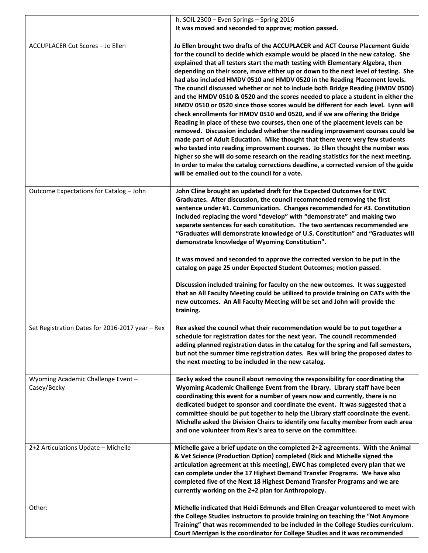|                                                   | h. SOIL 2300 - Even Springs - Spring 2016<br>It was moved and seconded to approve; motion passed.                                                                                                                                                                                                                                                                                                                                                                                                                                                                                                                                                                                                                                                                                                                                                                                                                                                                                                                                                                                                                                                                                                                                                                                                                                   |
|---------------------------------------------------|-------------------------------------------------------------------------------------------------------------------------------------------------------------------------------------------------------------------------------------------------------------------------------------------------------------------------------------------------------------------------------------------------------------------------------------------------------------------------------------------------------------------------------------------------------------------------------------------------------------------------------------------------------------------------------------------------------------------------------------------------------------------------------------------------------------------------------------------------------------------------------------------------------------------------------------------------------------------------------------------------------------------------------------------------------------------------------------------------------------------------------------------------------------------------------------------------------------------------------------------------------------------------------------------------------------------------------------|
| ACCUPLACER Cut Scores - Jo Ellen                  | Jo Ellen brought two drafts of the ACCUPLACER and ACT Course Placement Guide<br>for the council to decide which example would be placed in the new catalog. She<br>explained that all testers start the math testing with Elementary Algebra, then<br>depending on their score, move either up or down to the next level of testing. She<br>had also included HMDV 0510 and HMDV 0520 in the Reading Placement levels.<br>The council discussed whether or not to include both Bridge Reading (HMDV 0500)<br>and the HMDV 0510 & 0520 and the scores needed to place a student in either the<br>HMDV 0510 or 0520 since those scores would be different for each level. Lynn will<br>check enrollments for HMDV 0510 and 0520, and if we are offering the Bridge<br>Reading in place of these two courses, then one of the placement levels can be<br>removed. Discussion included whether the reading improvement courses could be<br>made part of Adult Education. Mike thought that there were very few students<br>who tested into reading improvement courses. Jo Ellen thought the number was<br>higher so she will do some research on the reading statistics for the next meeting.<br>In order to make the catalog corrections deadline, a corrected version of the guide<br>will be emailed out to the council for a vote. |
| Outcome Expectations for Catalog - John           | John Cline brought an updated draft for the Expected Outcomes for EWC<br>Graduates. After discussion, the council recommended removing the first<br>sentence under #1. Communication. Changes recommended for #3. Constitution<br>included replacing the word "develop" with "demonstrate" and making two<br>separate sentences for each constitution. The two sentences recommended are<br>"Graduates will demonstrate knowledge of U.S. Constitution" and "Graduates will<br>demonstrate knowledge of Wyoming Constitution".                                                                                                                                                                                                                                                                                                                                                                                                                                                                                                                                                                                                                                                                                                                                                                                                      |
|                                                   | It was moved and seconded to approve the corrected version to be put in the<br>catalog on page 25 under Expected Student Outcomes; motion passed.                                                                                                                                                                                                                                                                                                                                                                                                                                                                                                                                                                                                                                                                                                                                                                                                                                                                                                                                                                                                                                                                                                                                                                                   |
|                                                   | Discussion included training for faculty on the new outcomes. It was suggested<br>that an All Faculty Meeting could be utilized to provide training on CATs with the<br>new outcomes. An All Faculty Meeting will be set and John will provide the<br>training.                                                                                                                                                                                                                                                                                                                                                                                                                                                                                                                                                                                                                                                                                                                                                                                                                                                                                                                                                                                                                                                                     |
| Set Registration Dates for 2016-2017 year - Rex   | Rex asked the council what their recommendation would be to put together a<br>schedule for registration dates for the next year. The council recommended<br>adding planned registration dates in the catalog for the spring and fall semesters,<br>but not the summer time registration dates. Rex will bring the proposed dates to<br>the next meeting to be included in the new catalog.                                                                                                                                                                                                                                                                                                                                                                                                                                                                                                                                                                                                                                                                                                                                                                                                                                                                                                                                          |
| Wyoming Academic Challenge Event -<br>Casey/Becky | Becky asked the council about removing the responsibility for coordinating the<br>Wyoming Academic Challenge Event from the library. Library staff have been<br>coordinating this event for a number of years now and currently, there is no<br>dedicated budget to sponsor and coordinate the event. It was suggested that a<br>committee should be put together to help the Library staff coordinate the event.<br>Michelle asked the Division Chairs to identify one faculty member from each area<br>and one volunteer from Rex's area to serve on the committee.                                                                                                                                                                                                                                                                                                                                                                                                                                                                                                                                                                                                                                                                                                                                                               |
| 2+2 Articulations Update - Michelle               | Michelle gave a brief update on the completed 2+2 agreements. With the Animal<br>& Vet Science (Production Option) completed (Rick and Michelle signed the<br>articulation agreement at this meeting), EWC has completed every plan that we<br>can complete under the 17 Highest Demand Transfer Programs. We have also<br>completed five of the Next 18 Highest Demand Transfer Programs and we are<br>currently working on the 2+2 plan for Anthropology.                                                                                                                                                                                                                                                                                                                                                                                                                                                                                                                                                                                                                                                                                                                                                                                                                                                                         |
| Other:                                            | Michelle indicated that Heidi Edmunds and Ellen Creagar volunteered to meet with<br>the College Studies instructors to provide training on teaching the "Not Anymore<br>Training" that was recommended to be included in the College Studies curriculum.<br>Court Merrigan is the coordinator for College Studies and it was recommended                                                                                                                                                                                                                                                                                                                                                                                                                                                                                                                                                                                                                                                                                                                                                                                                                                                                                                                                                                                            |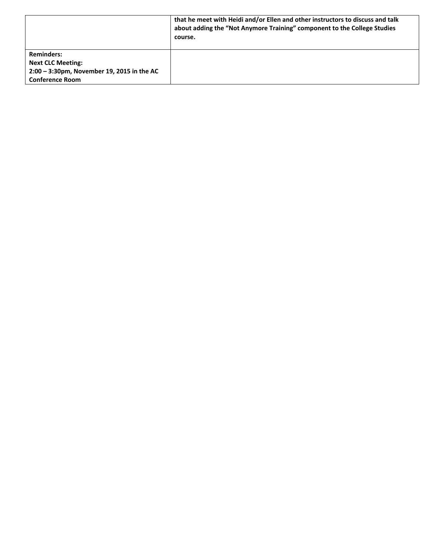|                                               | that he meet with Heidi and/or Ellen and other instructors to discuss and talk<br>about adding the "Not Anymore Training" component to the College Studies<br>course. |
|-----------------------------------------------|-----------------------------------------------------------------------------------------------------------------------------------------------------------------------|
| <b>Reminders:</b>                             |                                                                                                                                                                       |
| <b>Next CLC Meeting:</b>                      |                                                                                                                                                                       |
| $2:00 - 3:30$ pm, November 19, 2015 in the AC |                                                                                                                                                                       |
| <b>Conference Room</b>                        |                                                                                                                                                                       |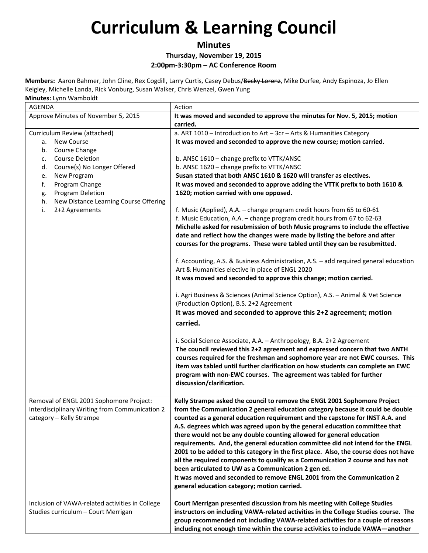**Minutes**

**Thursday, November 19, 2015**

**2:00pm‐3:30pm – AC Conference Room**

**Members:** Aaron Bahmer, John Cline, Rex Cogdill, Larry Curtis, Casey Debus/Becky Lorenz, Mike Durfee, Andy Espinoza, Jo Ellen Keigley, Michelle Landa, Rick Vonburg, Susan Walker, Chris Wenzel, Gwen Yung **Minutes:** Lynn Wamboldt

| AGENDA                                                                                                                | Action                                                                                                                                                                                                                                                                                                                                                                                                                                                                                                                                                                                                                                                                                                                                                                                                                                         |
|-----------------------------------------------------------------------------------------------------------------------|------------------------------------------------------------------------------------------------------------------------------------------------------------------------------------------------------------------------------------------------------------------------------------------------------------------------------------------------------------------------------------------------------------------------------------------------------------------------------------------------------------------------------------------------------------------------------------------------------------------------------------------------------------------------------------------------------------------------------------------------------------------------------------------------------------------------------------------------|
| Approve Minutes of November 5, 2015                                                                                   | It was moved and seconded to approve the minutes for Nov. 5, 2015; motion                                                                                                                                                                                                                                                                                                                                                                                                                                                                                                                                                                                                                                                                                                                                                                      |
|                                                                                                                       | carried.                                                                                                                                                                                                                                                                                                                                                                                                                                                                                                                                                                                                                                                                                                                                                                                                                                       |
| Curriculum Review (attached)                                                                                          | a. ART 1010 - Introduction to Art - 3cr - Arts & Humanities Category                                                                                                                                                                                                                                                                                                                                                                                                                                                                                                                                                                                                                                                                                                                                                                           |
| <b>New Course</b><br>а.                                                                                               | It was moved and seconded to approve the new course; motion carried.                                                                                                                                                                                                                                                                                                                                                                                                                                                                                                                                                                                                                                                                                                                                                                           |
| b. Course Change<br><b>Course Deletion</b><br>c.                                                                      | b. ANSC 1610 - change prefix to VTTK/ANSC                                                                                                                                                                                                                                                                                                                                                                                                                                                                                                                                                                                                                                                                                                                                                                                                      |
| Course(s) No Longer Offered<br>d.                                                                                     | b. ANSC 1620 - change prefix to VTTK/ANSC                                                                                                                                                                                                                                                                                                                                                                                                                                                                                                                                                                                                                                                                                                                                                                                                      |
| New Program<br>e.                                                                                                     | Susan stated that both ANSC 1610 & 1620 will transfer as electives.                                                                                                                                                                                                                                                                                                                                                                                                                                                                                                                                                                                                                                                                                                                                                                            |
| f.<br>Program Change                                                                                                  | It was moved and seconded to approve adding the VTTK prefix to both 1610 &                                                                                                                                                                                                                                                                                                                                                                                                                                                                                                                                                                                                                                                                                                                                                                     |
| Program Deletion<br>g.                                                                                                | 1620; motion carried with one opposed.                                                                                                                                                                                                                                                                                                                                                                                                                                                                                                                                                                                                                                                                                                                                                                                                         |
| New Distance Learning Course Offering<br>h.                                                                           |                                                                                                                                                                                                                                                                                                                                                                                                                                                                                                                                                                                                                                                                                                                                                                                                                                                |
| 2+2 Agreements<br>i.                                                                                                  | f. Music (Applied), A.A. - change program credit hours from 65 to 60-61                                                                                                                                                                                                                                                                                                                                                                                                                                                                                                                                                                                                                                                                                                                                                                        |
|                                                                                                                       | f. Music Education, A.A. - change program credit hours from 67 to 62-63<br>Michelle asked for resubmission of both Music programs to include the effective                                                                                                                                                                                                                                                                                                                                                                                                                                                                                                                                                                                                                                                                                     |
|                                                                                                                       | date and reflect how the changes were made by listing the before and after                                                                                                                                                                                                                                                                                                                                                                                                                                                                                                                                                                                                                                                                                                                                                                     |
|                                                                                                                       | courses for the programs. These were tabled until they can be resubmitted.                                                                                                                                                                                                                                                                                                                                                                                                                                                                                                                                                                                                                                                                                                                                                                     |
|                                                                                                                       | f. Accounting, A.S. & Business Administration, A.S. - add required general education                                                                                                                                                                                                                                                                                                                                                                                                                                                                                                                                                                                                                                                                                                                                                           |
|                                                                                                                       | Art & Humanities elective in place of ENGL 2020                                                                                                                                                                                                                                                                                                                                                                                                                                                                                                                                                                                                                                                                                                                                                                                                |
|                                                                                                                       | It was moved and seconded to approve this change; motion carried.                                                                                                                                                                                                                                                                                                                                                                                                                                                                                                                                                                                                                                                                                                                                                                              |
|                                                                                                                       | i. Agri Business & Sciences (Animal Science Option), A.S. - Animal & Vet Science<br>(Production Option), B.S. 2+2 Agreement                                                                                                                                                                                                                                                                                                                                                                                                                                                                                                                                                                                                                                                                                                                    |
|                                                                                                                       | It was moved and seconded to approve this 2+2 agreement; motion                                                                                                                                                                                                                                                                                                                                                                                                                                                                                                                                                                                                                                                                                                                                                                                |
|                                                                                                                       | carried.                                                                                                                                                                                                                                                                                                                                                                                                                                                                                                                                                                                                                                                                                                                                                                                                                                       |
|                                                                                                                       | i. Social Science Associate, A.A. - Anthropology, B.A. 2+2 Agreement<br>The council reviewed this 2+2 agreement and expressed concern that two ANTH<br>courses required for the freshman and sophomore year are not EWC courses. This<br>item was tabled until further clarification on how students can complete an EWC<br>program with non-EWC courses. The agreement was tabled for further<br>discussion/clarification.                                                                                                                                                                                                                                                                                                                                                                                                                    |
| Removal of ENGL 2001 Sophomore Project:<br>Interdisciplinary Writing from Communication 2<br>category - Kelly Strampe | Kelly Strampe asked the council to remove the ENGL 2001 Sophomore Project<br>from the Communication 2 general education category because it could be double<br>counted as a general education requirement and the capstone for INST A.A. and<br>A.S. degrees which was agreed upon by the general education committee that<br>there would not be any double counting allowed for general education<br>requirements. And, the general education committee did not intend for the ENGL<br>2001 to be added to this category in the first place. Also, the course does not have<br>all the required components to qualify as a Communication 2 course and has not<br>been articulated to UW as a Communication 2 gen ed.<br>It was moved and seconded to remove ENGL 2001 from the Communication 2<br>general education category; motion carried. |
| Inclusion of VAWA-related activities in College<br>Studies curriculum - Court Merrigan                                | Court Merrigan presented discussion from his meeting with College Studies<br>instructors on including VAWA-related activities in the College Studies course. The<br>group recommended not including VAWA-related activities for a couple of reasons<br>including not enough time within the course activities to include VAWA-another                                                                                                                                                                                                                                                                                                                                                                                                                                                                                                          |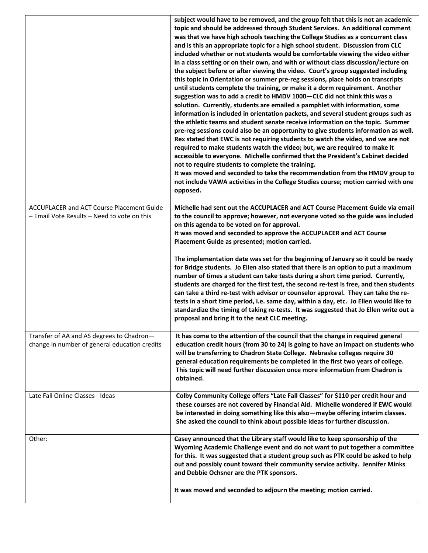|                                                                                                 | subject would have to be removed, and the group felt that this is not an academic<br>topic and should be addressed through Student Services. An additional comment<br>was that we have high schools teaching the College Studies as a concurrent class<br>and is this an appropriate topic for a high school student. Discussion from CLC<br>included whether or not students would be comfortable viewing the video either<br>in a class setting or on their own, and with or without class discussion/lecture on<br>the subject before or after viewing the video. Court's group suggested including<br>this topic in Orientation or summer pre-reg sessions, place holds on transcripts<br>until students complete the training, or make it a dorm requirement. Another<br>suggestion was to add a credit to HMDV 1000-CLC did not think this was a<br>solution. Currently, students are emailed a pamphlet with information, some<br>information is included in orientation packets, and several student groups such as<br>the athletic teams and student senate receive information on the topic. Summer<br>pre-reg sessions could also be an opportunity to give students information as well.<br>Rex stated that EWC is not requiring students to watch the video, and we are not<br>required to make students watch the video; but, we are required to make it<br>accessible to everyone. Michelle confirmed that the President's Cabinet decided<br>not to require students to complete the training.<br>It was moved and seconded to take the recommendation from the HMDV group to<br>not include VAWA activities in the College Studies course; motion carried with one<br>opposed. |
|-------------------------------------------------------------------------------------------------|-------------------------------------------------------------------------------------------------------------------------------------------------------------------------------------------------------------------------------------------------------------------------------------------------------------------------------------------------------------------------------------------------------------------------------------------------------------------------------------------------------------------------------------------------------------------------------------------------------------------------------------------------------------------------------------------------------------------------------------------------------------------------------------------------------------------------------------------------------------------------------------------------------------------------------------------------------------------------------------------------------------------------------------------------------------------------------------------------------------------------------------------------------------------------------------------------------------------------------------------------------------------------------------------------------------------------------------------------------------------------------------------------------------------------------------------------------------------------------------------------------------------------------------------------------------------------------------------------------------------------------------------------------------------------------------------------|
| <b>ACCUPLACER and ACT Course Placement Guide</b><br>- Email Vote Results - Need to vote on this | Michelle had sent out the ACCUPLACER and ACT Course Placement Guide via email<br>to the council to approve; however, not everyone voted so the guide was included<br>on this agenda to be voted on for approval.<br>It was moved and seconded to approve the ACCUPLACER and ACT Course<br>Placement Guide as presented; motion carried.                                                                                                                                                                                                                                                                                                                                                                                                                                                                                                                                                                                                                                                                                                                                                                                                                                                                                                                                                                                                                                                                                                                                                                                                                                                                                                                                                         |
|                                                                                                 | The implementation date was set for the beginning of January so it could be ready<br>for Bridge students. Jo Ellen also stated that there is an option to put a maximum<br>number of times a student can take tests during a short time period. Currently,<br>students are charged for the first test, the second re-test is free, and then students<br>can take a third re-test with advisor or counselor approval. They can take the re-<br>tests in a short time period, i.e. same day, within a day, etc. Jo Ellen would like to<br>standardize the timing of taking re-tests. It was suggested that Jo Ellen write out a<br>proposal and bring it to the next CLC meeting.                                                                                                                                                                                                                                                                                                                                                                                                                                                                                                                                                                                                                                                                                                                                                                                                                                                                                                                                                                                                                 |
| Transfer of AA and AS degrees to Chadron-<br>change in number of general education credits      | It has come to the attention of the council that the change in required general<br>education credit hours (from 30 to 24) is going to have an impact on students who<br>will be transferring to Chadron State College. Nebraska colleges require 30<br>general education requirements be completed in the first two years of college.<br>This topic will need further discussion once more information from Chadron is<br>obtained.                                                                                                                                                                                                                                                                                                                                                                                                                                                                                                                                                                                                                                                                                                                                                                                                                                                                                                                                                                                                                                                                                                                                                                                                                                                             |
| Late Fall Online Classes - Ideas                                                                | Colby Community College offers "Late Fall Classes" for \$110 per credit hour and<br>these courses are not covered by Financial Aid. Michelle wondered if EWC would<br>be interested in doing something like this also-maybe offering interim classes.<br>She asked the council to think about possible ideas for further discussion.                                                                                                                                                                                                                                                                                                                                                                                                                                                                                                                                                                                                                                                                                                                                                                                                                                                                                                                                                                                                                                                                                                                                                                                                                                                                                                                                                            |
| Other:                                                                                          | Casey announced that the Library staff would like to keep sponsorship of the<br>Wyoming Academic Challenge event and do not want to put together a committee<br>for this. It was suggested that a student group such as PTK could be asked to help<br>out and possibly count toward their community service activity. Jennifer Minks<br>and Debbie Ochsner are the PTK sponsors.                                                                                                                                                                                                                                                                                                                                                                                                                                                                                                                                                                                                                                                                                                                                                                                                                                                                                                                                                                                                                                                                                                                                                                                                                                                                                                                |
|                                                                                                 | It was moved and seconded to adjourn the meeting; motion carried.                                                                                                                                                                                                                                                                                                                                                                                                                                                                                                                                                                                                                                                                                                                                                                                                                                                                                                                                                                                                                                                                                                                                                                                                                                                                                                                                                                                                                                                                                                                                                                                                                               |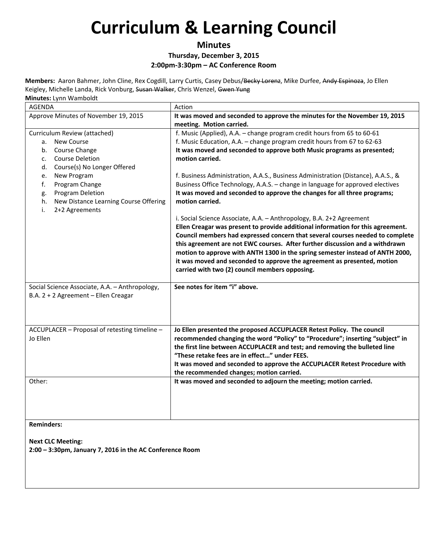**Minutes**

**Thursday, December 3, 2015**

**2:00pm‐3:30pm – AC Conference Room**

**Members:** Aaron Bahmer, John Cline, Rex Cogdill, Larry Curtis, Casey Debus/Becky Lorenz, Mike Durfee, Andy Espinoza, Jo Ellen Keigley, Michelle Landa, Rick Vonburg, Susan Walker, Chris Wenzel, Gwen Yung

| <b>AGENDA</b>                                                                                                                                                                                                                                                                                     | Action                                                                                                                                                                                                                                                                                                                                                                                                                                                                                                                                                                                                                                                                                                                                                                                                                                                                                                                                                                                                                                                          |
|---------------------------------------------------------------------------------------------------------------------------------------------------------------------------------------------------------------------------------------------------------------------------------------------------|-----------------------------------------------------------------------------------------------------------------------------------------------------------------------------------------------------------------------------------------------------------------------------------------------------------------------------------------------------------------------------------------------------------------------------------------------------------------------------------------------------------------------------------------------------------------------------------------------------------------------------------------------------------------------------------------------------------------------------------------------------------------------------------------------------------------------------------------------------------------------------------------------------------------------------------------------------------------------------------------------------------------------------------------------------------------|
| Approve Minutes of November 19, 2015                                                                                                                                                                                                                                                              | It was moved and seconded to approve the minutes for the November 19, 2015<br>meeting. Motion carried.                                                                                                                                                                                                                                                                                                                                                                                                                                                                                                                                                                                                                                                                                                                                                                                                                                                                                                                                                          |
| Curriculum Review (attached)<br><b>New Course</b><br>a.<br>Course Change<br>b.<br><b>Course Deletion</b><br>c.<br>Course(s) No Longer Offered<br>d.<br>New Program<br>e.<br>f.<br>Program Change<br>Program Deletion<br>g.<br>New Distance Learning Course Offering<br>h.<br>i.<br>2+2 Agreements | f. Music (Applied), A.A. - change program credit hours from 65 to 60-61<br>f. Music Education, A.A. - change program credit hours from 67 to 62-63<br>It was moved and seconded to approve both Music programs as presented;<br>motion carried.<br>f. Business Administration, A.A.S., Business Administration (Distance), A.A.S., &<br>Business Office Technology, A.A.S. - change in language for approved electives<br>It was moved and seconded to approve the changes for all three programs;<br>motion carried.<br>i. Social Science Associate, A.A. - Anthropology, B.A. 2+2 Agreement<br>Ellen Creagar was present to provide additional information for this agreement.<br>Council members had expressed concern that several courses needed to complete<br>this agreement are not EWC courses. After further discussion and a withdrawn<br>motion to approve with ANTH 1300 in the spring semester instead of ANTH 2000,<br>it was moved and seconded to approve the agreement as presented, motion<br>carried with two (2) council members opposing. |
| Social Science Associate, A.A. - Anthropology,<br>B.A. 2 + 2 Agreement - Ellen Creagar                                                                                                                                                                                                            | See notes for item "i" above.                                                                                                                                                                                                                                                                                                                                                                                                                                                                                                                                                                                                                                                                                                                                                                                                                                                                                                                                                                                                                                   |
| ACCUPLACER - Proposal of retesting timeline -<br>Jo Ellen                                                                                                                                                                                                                                         | Jo Ellen presented the proposed ACCUPLACER Retest Policy. The council<br>recommended changing the word "Policy" to "Procedure"; inserting "subject" in<br>the first line between ACCUPLACER and test; and removing the bulleted line<br>"These retake fees are in effect" under FEES.<br>It was moved and seconded to approve the ACCUPLACER Retest Procedure with<br>the recommended changes; motion carried.                                                                                                                                                                                                                                                                                                                                                                                                                                                                                                                                                                                                                                                  |
| Other:                                                                                                                                                                                                                                                                                            | It was moved and seconded to adjourn the meeting; motion carried.                                                                                                                                                                                                                                                                                                                                                                                                                                                                                                                                                                                                                                                                                                                                                                                                                                                                                                                                                                                               |

**Reminders:**

**Next CLC Meeting:**

**2:00 – 3:30pm, January 7, 2016 in the AC Conference Room**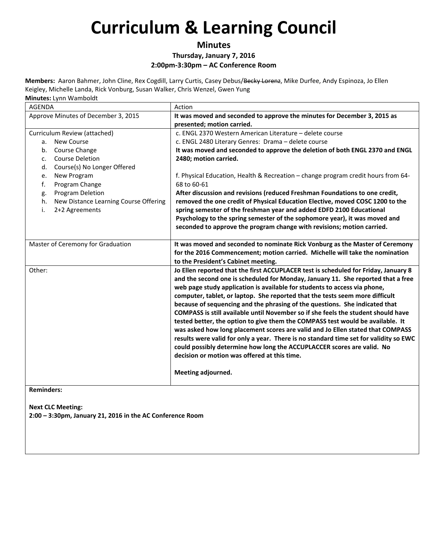**Minutes**

**Thursday, January 7, 2016**

**2:00pm‐3:30pm – AC Conference Room**

**Members:** Aaron Bahmer, John Cline, Rex Cogdill, Larry Curtis, Casey Debus/Becky Lorenz, Mike Durfee, Andy Espinoza, Jo Ellen Keigley, Michelle Landa, Rick Vonburg, Susan Walker, Chris Wenzel, Gwen Yung

| Minutes: Lynn Wamboldt |  |  |  |
|------------------------|--|--|--|
|------------------------|--|--|--|

| <b>AGENDA</b>                               | Action                                                                                   |
|---------------------------------------------|------------------------------------------------------------------------------------------|
| Approve Minutes of December 3, 2015         | It was moved and seconded to approve the minutes for December 3, 2015 as                 |
|                                             | presented; motion carried.                                                               |
| Curriculum Review (attached)                | c. ENGL 2370 Western American Literature - delete course                                 |
| <b>New Course</b><br>a.                     | c. ENGL 2480 Literary Genres: Drama - delete course                                      |
| Course Change<br>b.                         | It was moved and seconded to approve the deletion of both ENGL 2370 and ENGL             |
| <b>Course Deletion</b><br>$\mathsf{C}$ .    | 2480; motion carried.                                                                    |
| Course(s) No Longer Offered<br>d.           |                                                                                          |
| New Program<br>e.                           | f. Physical Education, Health & Recreation - change program credit hours from 64-        |
| f.<br>Program Change                        | 68 to 60-61                                                                              |
| Program Deletion<br>g.                      | After discussion and revisions (reduced Freshman Foundations to one credit,              |
| New Distance Learning Course Offering<br>h. | removed the one credit of Physical Education Elective, moved COSC 1200 to the            |
| 2+2 Agreements<br>i.                        | spring semester of the freshman year and added EDFD 2100 Educational                     |
|                                             | Psychology to the spring semester of the sophomore year), it was moved and               |
|                                             | seconded to approve the program change with revisions; motion carried.                   |
|                                             |                                                                                          |
| Master of Ceremony for Graduation           | It was moved and seconded to nominate Rick Vonburg as the Master of Ceremony             |
|                                             | for the 2016 Commencement; motion carried. Michelle will take the nomination             |
|                                             | to the President's Cabinet meeting.                                                      |
| Other:                                      | Jo Ellen reported that the first ACCUPLACER test is scheduled for Friday, January 8      |
|                                             | and the second one is scheduled for Monday, January 11. She reported that a free         |
|                                             | web page study application is available for students to access via phone,                |
|                                             | computer, tablet, or laptop. She reported that the tests seem more difficult             |
|                                             | because of sequencing and the phrasing of the questions. She indicated that              |
|                                             | <b>COMPASS is still available until November so if she feels the student should have</b> |
|                                             | tested better, the option to give them the COMPASS test would be available. It           |
|                                             | was asked how long placement scores are valid and Jo Ellen stated that COMPASS           |
|                                             | results were valid for only a year. There is no standard time set for validity so EWC    |
|                                             | could possibly determine how long the ACCUPLACCER scores are valid. No                   |
|                                             | decision or motion was offered at this time.                                             |
|                                             |                                                                                          |
|                                             | Meeting adjourned.                                                                       |
|                                             |                                                                                          |

**Reminders:**

**Next CLC Meeting: 2:00 – 3:30pm, January 21, 2016 in the AC Conference Room**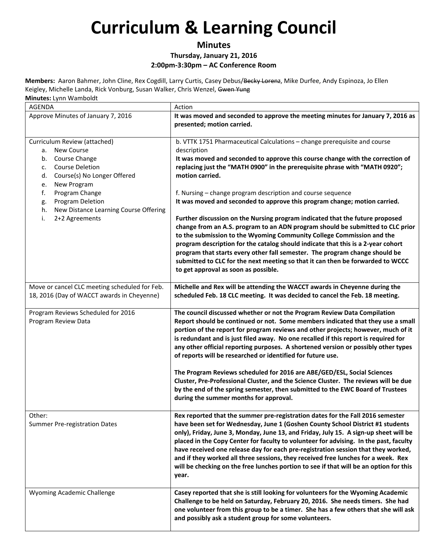### **Minutes**

#### **Thursday, January 21, 2016**

#### **2:00pm‐3:30pm – AC Conference Room**

**Members:** Aaron Bahmer, John Cline, Rex Cogdill, Larry Curtis, Casey Debus/Becky Lorenz, Mike Durfee, Andy Espinoza, Jo Ellen Keigley, Michelle Landa, Rick Vonburg, Susan Walker, Chris Wenzel, Gwen Yung

| <b>AGENDA</b>                                                                                                                                                                                                                                                                                       | Action                                                                                                                                                                                                                                                                                                                                                                                                                                                                                                                                                                                                                                                                                                                                                                                                                                                                                                                                                           |
|-----------------------------------------------------------------------------------------------------------------------------------------------------------------------------------------------------------------------------------------------------------------------------------------------------|------------------------------------------------------------------------------------------------------------------------------------------------------------------------------------------------------------------------------------------------------------------------------------------------------------------------------------------------------------------------------------------------------------------------------------------------------------------------------------------------------------------------------------------------------------------------------------------------------------------------------------------------------------------------------------------------------------------------------------------------------------------------------------------------------------------------------------------------------------------------------------------------------------------------------------------------------------------|
| Approve Minutes of January 7, 2016                                                                                                                                                                                                                                                                  | It was moved and seconded to approve the meeting minutes for January 7, 2016 as<br>presented; motion carried.                                                                                                                                                                                                                                                                                                                                                                                                                                                                                                                                                                                                                                                                                                                                                                                                                                                    |
| Curriculum Review (attached)<br><b>New Course</b><br>а. –<br>Course Change<br>b.<br><b>Course Deletion</b><br>c.<br>Course(s) No Longer Offered<br>d.<br>New Program<br>e.<br>f.<br>Program Change<br>Program Deletion<br>g.<br>New Distance Learning Course Offering<br>h.<br>2+2 Agreements<br>i. | b. VTTK 1751 Pharmaceutical Calculations - change prerequisite and course<br>description<br>It was moved and seconded to approve this course change with the correction of<br>replacing just the "MATH 0900" in the prerequisite phrase with "MATH 0920";<br>motion carried.<br>f. Nursing – change program description and course sequence<br>It was moved and seconded to approve this program change; motion carried.<br>Further discussion on the Nursing program indicated that the future proposed<br>change from an A.S. program to an ADN program should be submitted to CLC prior<br>to the submission to the Wyoming Community College Commission and the<br>program description for the catalog should indicate that this is a 2-year cohort<br>program that starts every other fall semester. The program change should be<br>submitted to CLC for the next meeting so that it can then be forwarded to WCCC<br>to get approval as soon as possible. |
| Move or cancel CLC meeting scheduled for Feb.<br>18, 2016 (Day of WACCT awards in Cheyenne)                                                                                                                                                                                                         | Michelle and Rex will be attending the WACCT awards in Cheyenne during the<br>scheduled Feb. 18 CLC meeting. It was decided to cancel the Feb. 18 meeting.                                                                                                                                                                                                                                                                                                                                                                                                                                                                                                                                                                                                                                                                                                                                                                                                       |
| Program Reviews Scheduled for 2016<br>Program Review Data                                                                                                                                                                                                                                           | The council discussed whether or not the Program Review Data Compilation<br>Report should be continued or not. Some members indicated that they use a small<br>portion of the report for program reviews and other projects; however, much of it<br>is redundant and is just filed away. No one recalled if this report is required for<br>any other official reporting purposes. A shortened version or possibly other types<br>of reports will be researched or identified for future use.                                                                                                                                                                                                                                                                                                                                                                                                                                                                     |
|                                                                                                                                                                                                                                                                                                     | The Program Reviews scheduled for 2016 are ABE/GED/ESL, Social Sciences<br>Cluster, Pre-Professional Cluster, and the Science Cluster. The reviews will be due<br>by the end of the spring semester, then submitted to the EWC Board of Trustees<br>during the summer months for approval.                                                                                                                                                                                                                                                                                                                                                                                                                                                                                                                                                                                                                                                                       |
| Other:<br><b>Summer Pre-registration Dates</b>                                                                                                                                                                                                                                                      | Rex reported that the summer pre-registration dates for the Fall 2016 semester<br>have been set for Wednesday, June 1 (Goshen County School District #1 students<br>only), Friday, June 3, Monday, June 13, and Friday, July 15. A sign-up sheet will be<br>placed in the Copy Center for faculty to volunteer for advising. In the past, faculty<br>have received one release day for each pre-registration session that they worked,<br>and if they worked all three sessions, they received free lunches for a week. Rex<br>will be checking on the free lunches portion to see if that will be an option for this<br>year.                                                                                                                                                                                                                                                                                                                                   |
| Wyoming Academic Challenge                                                                                                                                                                                                                                                                          | Casey reported that she is still looking for volunteers for the Wyoming Academic<br>Challenge to be held on Saturday, February 20, 2016. She needs timers. She had<br>one volunteer from this group to be a timer. She has a few others that she will ask<br>and possibly ask a student group for some volunteers.                                                                                                                                                                                                                                                                                                                                                                                                                                                                                                                                                                                                                                               |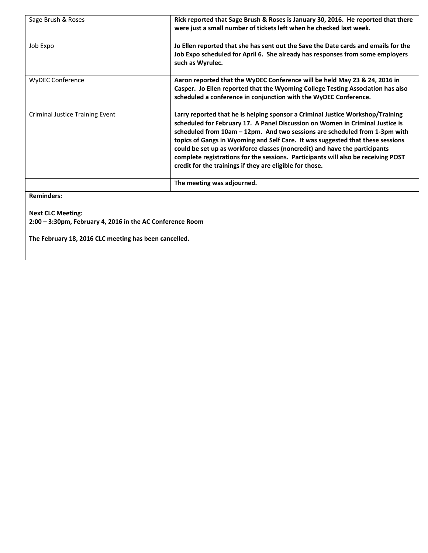| Sage Brush & Roses                     | Rick reported that Sage Brush & Roses is January 30, 2016. He reported that there<br>were just a small number of tickets left when he checked last week.                                                                                                                                                                                                                                                                                                                                                                                                       |
|----------------------------------------|----------------------------------------------------------------------------------------------------------------------------------------------------------------------------------------------------------------------------------------------------------------------------------------------------------------------------------------------------------------------------------------------------------------------------------------------------------------------------------------------------------------------------------------------------------------|
| Job Expo                               | Jo Ellen reported that she has sent out the Save the Date cards and emails for the<br>Job Expo scheduled for April 6. She already has responses from some employers<br>such as Wyrulec.                                                                                                                                                                                                                                                                                                                                                                        |
| <b>WyDEC Conference</b>                | Aaron reported that the WyDEC Conference will be held May 23 & 24, 2016 in<br>Casper. Jo Ellen reported that the Wyoming College Testing Association has also<br>scheduled a conference in conjunction with the WyDEC Conference.                                                                                                                                                                                                                                                                                                                              |
| <b>Criminal Justice Training Event</b> | Larry reported that he is helping sponsor a Criminal Justice Workshop/Training<br>scheduled for February 17. A Panel Discussion on Women in Criminal Justice is<br>scheduled from 10am – 12pm. And two sessions are scheduled from 1-3pm with<br>topics of Gangs in Wyoming and Self Care. It was suggested that these sessions<br>could be set up as workforce classes (noncredit) and have the participants<br>complete registrations for the sessions. Participants will also be receiving POST<br>credit for the trainings if they are eligible for those. |
|                                        | The meeting was adjourned.                                                                                                                                                                                                                                                                                                                                                                                                                                                                                                                                     |

**Reminders:**

**Next CLC Meeting:**

**2:00 – 3:30pm, February 4, 2016 in the AC Conference Room**

**The February 18, 2016 CLC meeting has been cancelled.**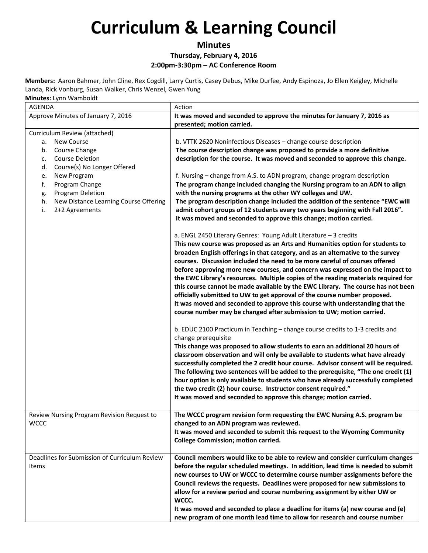### **Minutes**

**Thursday, February 4, 2016**

**2:00pm‐3:30pm – AC Conference Room**

**Members:** Aaron Bahmer, John Cline, Rex Cogdill, Larry Curtis, Casey Debus, Mike Durfee, Andy Espinoza, Jo Ellen Keigley, Michelle Landa, Rick Vonburg, Susan Walker, Chris Wenzel, Gwen Yung

| <b>AGENDA</b>                                                                                                                                                                                                                                                                                                 | Action                                                                                                                                                                                                                                                                                                                                                                                                                                                                                                                                                                                                                                                                                                                                                                                                                                                                                                                                                                                                                                                                                                                                                                                                                                                                                                                                                                                                                                                                                                                                                                                                                                                                                                                                                                                                                                                                                                                                                                    |
|---------------------------------------------------------------------------------------------------------------------------------------------------------------------------------------------------------------------------------------------------------------------------------------------------------------|---------------------------------------------------------------------------------------------------------------------------------------------------------------------------------------------------------------------------------------------------------------------------------------------------------------------------------------------------------------------------------------------------------------------------------------------------------------------------------------------------------------------------------------------------------------------------------------------------------------------------------------------------------------------------------------------------------------------------------------------------------------------------------------------------------------------------------------------------------------------------------------------------------------------------------------------------------------------------------------------------------------------------------------------------------------------------------------------------------------------------------------------------------------------------------------------------------------------------------------------------------------------------------------------------------------------------------------------------------------------------------------------------------------------------------------------------------------------------------------------------------------------------------------------------------------------------------------------------------------------------------------------------------------------------------------------------------------------------------------------------------------------------------------------------------------------------------------------------------------------------------------------------------------------------------------------------------------------------|
| Approve Minutes of January 7, 2016                                                                                                                                                                                                                                                                            | It was moved and seconded to approve the minutes for January 7, 2016 as<br>presented; motion carried.                                                                                                                                                                                                                                                                                                                                                                                                                                                                                                                                                                                                                                                                                                                                                                                                                                                                                                                                                                                                                                                                                                                                                                                                                                                                                                                                                                                                                                                                                                                                                                                                                                                                                                                                                                                                                                                                     |
| Curriculum Review (attached)<br><b>New Course</b><br>a.<br>Course Change<br>b.<br><b>Course Deletion</b><br>$\mathsf{C}$ .<br>Course(s) No Longer Offered<br>d.<br>New Program<br>e.<br>f.<br>Program Change<br>Program Deletion<br>g.<br>New Distance Learning Course Offering<br>h.<br>2+2 Agreements<br>i. | b. VTTK 2620 Noninfectious Diseases - change course description<br>The course description change was proposed to provide a more definitive<br>description for the course. It was moved and seconded to approve this change.<br>f. Nursing – change from A.S. to ADN program, change program description<br>The program change included changing the Nursing program to an ADN to align<br>with the nursing programs at the other WY colleges and UW.<br>The program description change included the addition of the sentence "EWC will<br>admit cohort groups of 12 students every two years beginning with Fall 2016".<br>It was moved and seconded to approve this change; motion carried.<br>a. ENGL 2450 Literary Genres: Young Adult Literature - 3 credits<br>This new course was proposed as an Arts and Humanities option for students to<br>broaden English offerings in that category, and as an alternative to the survey<br>courses. Discussion included the need to be more careful of courses offered<br>before approving more new courses, and concern was expressed on the impact to<br>the EWC Library's resources. Multiple copies of the reading materials required for<br>this course cannot be made available by the EWC Library. The course has not been<br>officially submitted to UW to get approval of the course number proposed.<br>It was moved and seconded to approve this course with understanding that the<br>course number may be changed after submission to UW; motion carried.<br>b. EDUC 2100 Practicum in Teaching - change course credits to 1-3 credits and<br>change prerequisite<br>This change was proposed to allow students to earn an additional 20 hours of<br>classroom observation and will only be available to students what have already<br>successfully completed the 2 credit hour course. Advisor consent will be required.<br>The following two sentences will be added to the prerequisite, "The one credit (1) |
|                                                                                                                                                                                                                                                                                                               | hour option is only available to students who have already successfully completed<br>the two credit (2) hour course. Instructor consent required."<br>It was moved and seconded to approve this change; motion carried.                                                                                                                                                                                                                                                                                                                                                                                                                                                                                                                                                                                                                                                                                                                                                                                                                                                                                                                                                                                                                                                                                                                                                                                                                                                                                                                                                                                                                                                                                                                                                                                                                                                                                                                                                   |
| Review Nursing Program Revision Request to<br><b>WCCC</b>                                                                                                                                                                                                                                                     | The WCCC program revision form requesting the EWC Nursing A.S. program be<br>changed to an ADN program was reviewed.<br>It was moved and seconded to submit this request to the Wyoming Community<br><b>College Commission; motion carried.</b>                                                                                                                                                                                                                                                                                                                                                                                                                                                                                                                                                                                                                                                                                                                                                                                                                                                                                                                                                                                                                                                                                                                                                                                                                                                                                                                                                                                                                                                                                                                                                                                                                                                                                                                           |
| Deadlines for Submission of Curriculum Review<br>Items                                                                                                                                                                                                                                                        | Council members would like to be able to review and consider curriculum changes<br>before the regular scheduled meetings. In addition, lead time is needed to submit<br>new courses to UW or WCCC to determine course number assignments before the<br>Council reviews the requests. Deadlines were proposed for new submissions to<br>allow for a review period and course numbering assignment by either UW or<br>WCCC.<br>It was moved and seconded to place a deadline for items (a) new course and (e)<br>new program of one month lead time to allow for research and course number                                                                                                                                                                                                                                                                                                                                                                                                                                                                                                                                                                                                                                                                                                                                                                                                                                                                                                                                                                                                                                                                                                                                                                                                                                                                                                                                                                                 |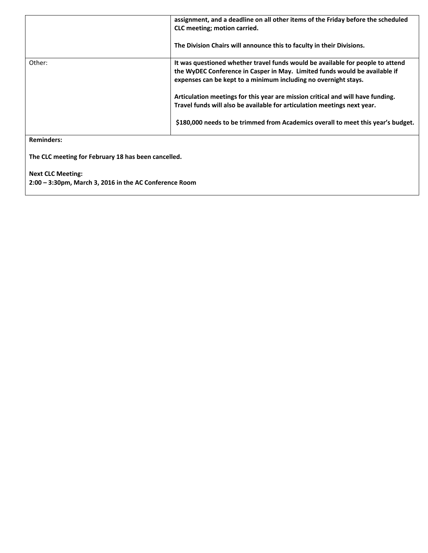|        | assignment, and a deadline on all other items of the Friday before the scheduled<br>CLC meeting; motion carried.<br>The Division Chairs will announce this to faculty in their Divisions.                                       |
|--------|---------------------------------------------------------------------------------------------------------------------------------------------------------------------------------------------------------------------------------|
| Other: | It was questioned whether travel funds would be available for people to attend<br>the WyDEC Conference in Casper in May. Limited funds would be available if<br>expenses can be kept to a minimum including no overnight stays. |
|        | Articulation meetings for this year are mission critical and will have funding.<br>Travel funds will also be available for articulation meetings next year.                                                                     |
|        | \$180,000 needs to be trimmed from Academics overall to meet this year's budget.                                                                                                                                                |

**Reminders:**

**The CLC meeting for February 18 has been cancelled.**

**Next CLC Meeting:**

**2:00 – 3:30pm, March 3, 2016 in the AC Conference Room**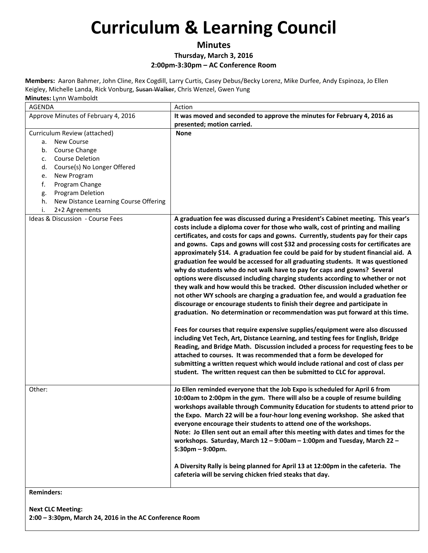**Minutes**

#### **Thursday, March 3, 2016 2:00pm‐3:30pm – AC Conference Room**

**Members:** Aaron Bahmer, John Cline, Rex Cogdill, Larry Curtis, Casey Debus/Becky Lorenz, Mike Durfee, Andy Espinoza, Jo Ellen Keigley, Michelle Landa, Rick Vonburg, Susan Walker, Chris Wenzel, Gwen Yung

| <b>AGENDA</b>                               | Action                                                                                                                                                                                                                                                                                                                                                                                                                                                                                                                                                                                                                                                                                                                                                                                                                                                                                                                                                                                                                                                                                                                                                                                                                                                                                                                                                                                                                                                                                                                 |
|---------------------------------------------|------------------------------------------------------------------------------------------------------------------------------------------------------------------------------------------------------------------------------------------------------------------------------------------------------------------------------------------------------------------------------------------------------------------------------------------------------------------------------------------------------------------------------------------------------------------------------------------------------------------------------------------------------------------------------------------------------------------------------------------------------------------------------------------------------------------------------------------------------------------------------------------------------------------------------------------------------------------------------------------------------------------------------------------------------------------------------------------------------------------------------------------------------------------------------------------------------------------------------------------------------------------------------------------------------------------------------------------------------------------------------------------------------------------------------------------------------------------------------------------------------------------------|
| Approve Minutes of February 4, 2016         | It was moved and seconded to approve the minutes for February 4, 2016 as                                                                                                                                                                                                                                                                                                                                                                                                                                                                                                                                                                                                                                                                                                                                                                                                                                                                                                                                                                                                                                                                                                                                                                                                                                                                                                                                                                                                                                               |
|                                             | presented; motion carried.                                                                                                                                                                                                                                                                                                                                                                                                                                                                                                                                                                                                                                                                                                                                                                                                                                                                                                                                                                                                                                                                                                                                                                                                                                                                                                                                                                                                                                                                                             |
| Curriculum Review (attached)                | <b>None</b>                                                                                                                                                                                                                                                                                                                                                                                                                                                                                                                                                                                                                                                                                                                                                                                                                                                                                                                                                                                                                                                                                                                                                                                                                                                                                                                                                                                                                                                                                                            |
| <b>New Course</b><br>а.                     |                                                                                                                                                                                                                                                                                                                                                                                                                                                                                                                                                                                                                                                                                                                                                                                                                                                                                                                                                                                                                                                                                                                                                                                                                                                                                                                                                                                                                                                                                                                        |
| b. Course Change                            |                                                                                                                                                                                                                                                                                                                                                                                                                                                                                                                                                                                                                                                                                                                                                                                                                                                                                                                                                                                                                                                                                                                                                                                                                                                                                                                                                                                                                                                                                                                        |
| <b>Course Deletion</b><br>c.                |                                                                                                                                                                                                                                                                                                                                                                                                                                                                                                                                                                                                                                                                                                                                                                                                                                                                                                                                                                                                                                                                                                                                                                                                                                                                                                                                                                                                                                                                                                                        |
| Course(s) No Longer Offered<br>d.           |                                                                                                                                                                                                                                                                                                                                                                                                                                                                                                                                                                                                                                                                                                                                                                                                                                                                                                                                                                                                                                                                                                                                                                                                                                                                                                                                                                                                                                                                                                                        |
| New Program<br>e.                           |                                                                                                                                                                                                                                                                                                                                                                                                                                                                                                                                                                                                                                                                                                                                                                                                                                                                                                                                                                                                                                                                                                                                                                                                                                                                                                                                                                                                                                                                                                                        |
| f.<br>Program Change                        |                                                                                                                                                                                                                                                                                                                                                                                                                                                                                                                                                                                                                                                                                                                                                                                                                                                                                                                                                                                                                                                                                                                                                                                                                                                                                                                                                                                                                                                                                                                        |
| Program Deletion<br>g.                      |                                                                                                                                                                                                                                                                                                                                                                                                                                                                                                                                                                                                                                                                                                                                                                                                                                                                                                                                                                                                                                                                                                                                                                                                                                                                                                                                                                                                                                                                                                                        |
| New Distance Learning Course Offering<br>h. |                                                                                                                                                                                                                                                                                                                                                                                                                                                                                                                                                                                                                                                                                                                                                                                                                                                                                                                                                                                                                                                                                                                                                                                                                                                                                                                                                                                                                                                                                                                        |
| 2+2 Agreements<br>i.                        |                                                                                                                                                                                                                                                                                                                                                                                                                                                                                                                                                                                                                                                                                                                                                                                                                                                                                                                                                                                                                                                                                                                                                                                                                                                                                                                                                                                                                                                                                                                        |
| Ideas & Discussion - Course Fees            | A graduation fee was discussed during a President's Cabinet meeting. This year's<br>costs include a diploma cover for those who walk, cost of printing and mailing<br>certificates, and costs for caps and gowns. Currently, students pay for their caps<br>and gowns. Caps and gowns will cost \$32 and processing costs for certificates are<br>approximately \$14. A graduation fee could be paid for by student financial aid. A<br>graduation fee would be accessed for all graduating students. It was questioned<br>why do students who do not walk have to pay for caps and gowns? Several<br>options were discussed including charging students according to whether or not<br>they walk and how would this be tracked. Other discussion included whether or<br>not other WY schools are charging a graduation fee, and would a graduation fee<br>discourage or encourage students to finish their degree and participate in<br>graduation. No determination or recommendation was put forward at this time.<br>Fees for courses that require expensive supplies/equipment were also discussed<br>including Vet Tech, Art, Distance Learning, and testing fees for English, Bridge<br>Reading, and Bridge Math. Discussion included a process for requesting fees to be<br>attached to courses. It was recommended that a form be developed for<br>submitting a written request which would include rational and cost of class per<br>student. The written request can then be submitted to CLC for approval. |
| Other:                                      | Jo Ellen reminded everyone that the Job Expo is scheduled for April 6 from<br>10:00am to 2:00pm in the gym. There will also be a couple of resume building<br>workshops available through Community Education for students to attend prior to<br>the Expo. March 22 will be a four-hour long evening workshop. She asked that<br>everyone encourage their students to attend one of the workshops.<br>Note: Jo Ellen sent out an email after this meeting with dates and times for the<br>workshops. Saturday, March 12 - 9:00am - 1:00pm and Tuesday, March 22 -<br>$5:30$ pm - $9:00$ pm.                                                                                                                                                                                                                                                                                                                                                                                                                                                                                                                                                                                                                                                                                                                                                                                                                                                                                                                            |
|                                             | A Diversity Rally is being planned for April 13 at 12:00pm in the cafeteria. The<br>cafeteria will be serving chicken fried steaks that day.                                                                                                                                                                                                                                                                                                                                                                                                                                                                                                                                                                                                                                                                                                                                                                                                                                                                                                                                                                                                                                                                                                                                                                                                                                                                                                                                                                           |

**Reminders:**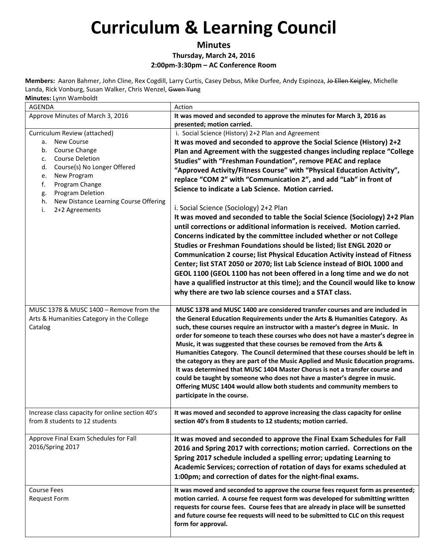### **Minutes Thursday, March 24, 2016**

**2:00pm‐3:30pm – AC Conference Room**

Members: Aaron Bahmer, John Cline, Rex Cogdill, Larry Curtis, Casey Debus, Mike Durfee, Andy Espinoza, Jo Ellen Keigley, Michelle Landa, Rick Vonburg, Susan Walker, Chris Wenzel, Gwen Yung **Minutes:** Lynn Wamboldt

| AGENDA                                                                                                                                                                                                                     | Action                                                                                                                                                                                                                                                                                                                                                                                                                                                                                                                                                                                                                                                                                                                                                                                                                                            |
|----------------------------------------------------------------------------------------------------------------------------------------------------------------------------------------------------------------------------|---------------------------------------------------------------------------------------------------------------------------------------------------------------------------------------------------------------------------------------------------------------------------------------------------------------------------------------------------------------------------------------------------------------------------------------------------------------------------------------------------------------------------------------------------------------------------------------------------------------------------------------------------------------------------------------------------------------------------------------------------------------------------------------------------------------------------------------------------|
| Approve Minutes of March 3, 2016                                                                                                                                                                                           | It was moved and seconded to approve the minutes for March 3, 2016 as<br>presented; motion carried.                                                                                                                                                                                                                                                                                                                                                                                                                                                                                                                                                                                                                                                                                                                                               |
| Curriculum Review (attached)<br><b>New Course</b><br>a.<br>Course Change<br>b.<br><b>Course Deletion</b><br>c.<br>Course(s) No Longer Offered<br>d.<br>New Program<br>e.<br>f.<br>Program Change<br>Program Deletion<br>g. | i. Social Science (History) 2+2 Plan and Agreement<br>It was moved and seconded to approve the Social Science (History) 2+2<br>Plan and Agreement with the suggested changes including replace "College<br>Studies" with "Freshman Foundation", remove PEAC and replace<br>"Approved Activity/Fitness Course" with "Physical Education Activity",<br>replace "COM 2" with "Communication 2", and add "Lab" in front of<br>Science to indicate a Lab Science. Motion carried.                                                                                                                                                                                                                                                                                                                                                                      |
| New Distance Learning Course Offering<br>h.<br>2+2 Agreements<br>i.                                                                                                                                                        | i. Social Science (Sociology) 2+2 Plan<br>It was moved and seconded to table the Social Science (Sociology) 2+2 Plan<br>until corrections or additional information is received. Motion carried.<br>Concerns indicated by the committee included whether or not College<br>Studies or Freshman Foundations should be listed; list ENGL 2020 or<br><b>Communication 2 course; list Physical Education Activity instead of Fitness</b><br>Center; list STAT 2050 or 2070; list Lab Science instead of BIOL 1000 and<br>GEOL 1100 (GEOL 1100 has not been offered in a long time and we do not<br>have a qualified instructor at this time); and the Council would like to know<br>why there are two lab science courses and a STAT class.                                                                                                           |
| MUSC 1378 & MUSC 1400 - Remove from the<br>Arts & Humanities Category in the College<br>Catalog                                                                                                                            | MUSC 1378 and MUSC 1400 are considered transfer courses and are included in<br>the General Education Requirements under the Arts & Humanities Category. As<br>such, these courses require an instructor with a master's degree in Music. In<br>order for someone to teach these courses who does not have a master's degree in<br>Music, it was suggested that these courses be removed from the Arts &<br>Humanities Category. The Council determined that these courses should be left in<br>the category as they are part of the Music Applied and Music Education programs.<br>It was determined that MUSC 1404 Master Chorus is not a transfer course and<br>could be taught by someone who does not have a master's degree in music.<br>Offering MUSC 1404 would allow both students and community members to<br>participate in the course. |
| Increase class capacity for online section 40's<br>from 8 students to 12 students                                                                                                                                          | It was moved and seconded to approve increasing the class capacity for online<br>section 40's from 8 students to 12 students; motion carried.                                                                                                                                                                                                                                                                                                                                                                                                                                                                                                                                                                                                                                                                                                     |
| Approve Final Exam Schedules for Fall<br>2016/Spring 2017                                                                                                                                                                  | It was moved and seconded to approve the Final Exam Schedules for Fall<br>2016 and Spring 2017 with corrections; motion carried. Corrections on the<br>Spring 2017 schedule included a spelling error; updating Learning to<br>Academic Services; correction of rotation of days for exams scheduled at<br>1:00pm; and correction of dates for the night-final exams.                                                                                                                                                                                                                                                                                                                                                                                                                                                                             |
| <b>Course Fees</b><br><b>Request Form</b>                                                                                                                                                                                  | It was moved and seconded to approve the course fees request form as presented;<br>motion carried. A course fee request form was developed for submitting written<br>requests for course fees. Course fees that are already in place will be sunsetted<br>and future course fee requests will need to be submitted to CLC on this request<br>form for approval.                                                                                                                                                                                                                                                                                                                                                                                                                                                                                   |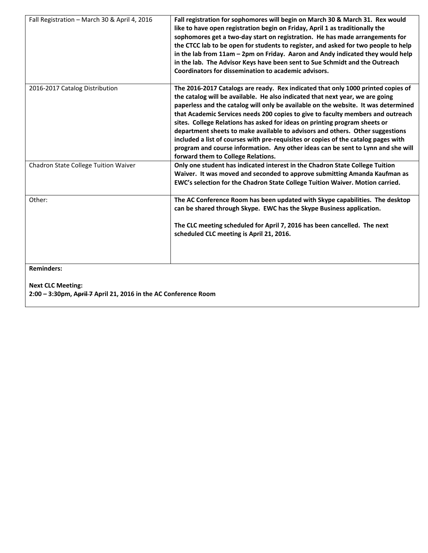| Fall Registration - March 30 & April 4, 2016 | Fall registration for sophomores will begin on March 30 & March 31. Rex would<br>like to have open registration begin on Friday, April 1 as traditionally the<br>sophomores get a two-day start on registration. He has made arrangements for<br>the CTCC lab to be open for students to register, and asked for two people to help<br>in the lab from 11am - 2pm on Friday. Aaron and Andy indicated they would help<br>in the lab. The Advisor Keys have been sent to Sue Schmidt and the Outreach<br>Coordinators for dissemination to academic advisors.                                                                                                                                                              |
|----------------------------------------------|---------------------------------------------------------------------------------------------------------------------------------------------------------------------------------------------------------------------------------------------------------------------------------------------------------------------------------------------------------------------------------------------------------------------------------------------------------------------------------------------------------------------------------------------------------------------------------------------------------------------------------------------------------------------------------------------------------------------------|
| 2016-2017 Catalog Distribution               | The 2016-2017 Catalogs are ready. Rex indicated that only 1000 printed copies of<br>the catalog will be available. He also indicated that next year, we are going<br>paperless and the catalog will only be available on the website. It was determined<br>that Academic Services needs 200 copies to give to faculty members and outreach<br>sites. College Relations has asked for ideas on printing program sheets or<br>department sheets to make available to advisors and others. Other suggestions<br>included a list of courses with pre-requisites or copies of the catalog pages with<br>program and course information. Any other ideas can be sent to Lynn and she will<br>forward them to College Relations. |
| Chadron State College Tuition Waiver         | Only one student has indicated interest in the Chadron State College Tuition<br>Waiver. It was moved and seconded to approve submitting Amanda Kaufman as<br>EWC's selection for the Chadron State College Tuition Waiver. Motion carried.                                                                                                                                                                                                                                                                                                                                                                                                                                                                                |
| Other:                                       | The AC Conference Room has been updated with Skype capabilities. The desktop<br>can be shared through Skype. EWC has the Skype Business application.<br>The CLC meeting scheduled for April 7, 2016 has been cancelled. The next<br>scheduled CLC meeting is April 21, 2016.                                                                                                                                                                                                                                                                                                                                                                                                                                              |
| <b>Reminders:</b>                            |                                                                                                                                                                                                                                                                                                                                                                                                                                                                                                                                                                                                                                                                                                                           |

**Next CLC Meeting:**

**2:00 – 3:30pm, April 7 April 21, 2016 in the AC Conference Room**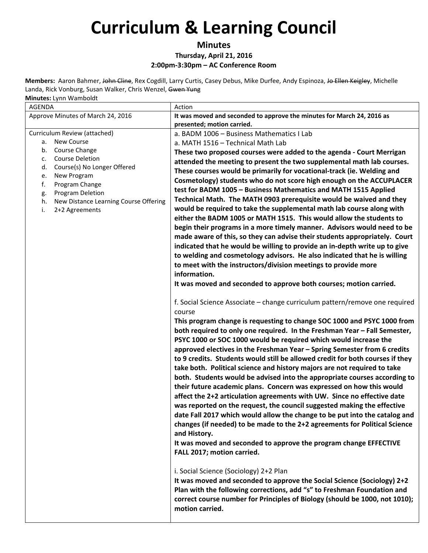### **Minutes**

### **Thursday, April 21, 2016**

**2:00pm‐3:30pm – AC Conference Room**

Members: Aaron Bahmer, John Cline, Rex Cogdill, Larry Curtis, Casey Debus, Mike Durfee, Andy Espinoza, Jo Ellen Keigley, Michelle Landa, Rick Vonburg, Susan Walker, Chris Wenzel, Gwen Yung **Minutes:** Lynn Wamboldt

| <b>AGENDA</b>                                    | Action                                                                                                                                                                                                                                                                                                                                                                                                                                                                                                                                                                                                                                                                                                                                                                                                                                                                                                                                                                                                                                                                                                                                               |
|--------------------------------------------------|------------------------------------------------------------------------------------------------------------------------------------------------------------------------------------------------------------------------------------------------------------------------------------------------------------------------------------------------------------------------------------------------------------------------------------------------------------------------------------------------------------------------------------------------------------------------------------------------------------------------------------------------------------------------------------------------------------------------------------------------------------------------------------------------------------------------------------------------------------------------------------------------------------------------------------------------------------------------------------------------------------------------------------------------------------------------------------------------------------------------------------------------------|
| Approve Minutes of March 24, 2016                | It was moved and seconded to approve the minutes for March 24, 2016 as                                                                                                                                                                                                                                                                                                                                                                                                                                                                                                                                                                                                                                                                                                                                                                                                                                                                                                                                                                                                                                                                               |
|                                                  | presented; motion carried.                                                                                                                                                                                                                                                                                                                                                                                                                                                                                                                                                                                                                                                                                                                                                                                                                                                                                                                                                                                                                                                                                                                           |
| Curriculum Review (attached)                     | a. BADM 1006 - Business Mathematics I Lab                                                                                                                                                                                                                                                                                                                                                                                                                                                                                                                                                                                                                                                                                                                                                                                                                                                                                                                                                                                                                                                                                                            |
| New Course<br>а.                                 | a. MATH 1516 - Technical Math Lab                                                                                                                                                                                                                                                                                                                                                                                                                                                                                                                                                                                                                                                                                                                                                                                                                                                                                                                                                                                                                                                                                                                    |
| Course Change<br>b.                              | These two proposed courses were added to the agenda - Court Merrigan                                                                                                                                                                                                                                                                                                                                                                                                                                                                                                                                                                                                                                                                                                                                                                                                                                                                                                                                                                                                                                                                                 |
| <b>Course Deletion</b><br>c.                     | attended the meeting to present the two supplemental math lab courses.                                                                                                                                                                                                                                                                                                                                                                                                                                                                                                                                                                                                                                                                                                                                                                                                                                                                                                                                                                                                                                                                               |
| Course(s) No Longer Offered<br>d.<br>New Program | These courses would be primarily for vocational-track (ie. Welding and                                                                                                                                                                                                                                                                                                                                                                                                                                                                                                                                                                                                                                                                                                                                                                                                                                                                                                                                                                                                                                                                               |
| е.<br>f.<br>Program Change                       | Cosmetology) students who do not score high enough on the ACCUPLACER                                                                                                                                                                                                                                                                                                                                                                                                                                                                                                                                                                                                                                                                                                                                                                                                                                                                                                                                                                                                                                                                                 |
| Program Deletion<br>g.                           | test for BADM 1005 - Business Mathematics and MATH 1515 Applied                                                                                                                                                                                                                                                                                                                                                                                                                                                                                                                                                                                                                                                                                                                                                                                                                                                                                                                                                                                                                                                                                      |
| New Distance Learning Course Offering<br>h.      | Technical Math. The MATH 0903 prerequisite would be waived and they                                                                                                                                                                                                                                                                                                                                                                                                                                                                                                                                                                                                                                                                                                                                                                                                                                                                                                                                                                                                                                                                                  |
| 2+2 Agreements<br>i.                             | would be required to take the supplemental math lab course along with                                                                                                                                                                                                                                                                                                                                                                                                                                                                                                                                                                                                                                                                                                                                                                                                                                                                                                                                                                                                                                                                                |
|                                                  | either the BADM 1005 or MATH 1515. This would allow the students to                                                                                                                                                                                                                                                                                                                                                                                                                                                                                                                                                                                                                                                                                                                                                                                                                                                                                                                                                                                                                                                                                  |
|                                                  | begin their programs in a more timely manner. Advisors would need to be                                                                                                                                                                                                                                                                                                                                                                                                                                                                                                                                                                                                                                                                                                                                                                                                                                                                                                                                                                                                                                                                              |
|                                                  | made aware of this, so they can advise their students appropriately. Court                                                                                                                                                                                                                                                                                                                                                                                                                                                                                                                                                                                                                                                                                                                                                                                                                                                                                                                                                                                                                                                                           |
|                                                  | indicated that he would be willing to provide an in-depth write up to give                                                                                                                                                                                                                                                                                                                                                                                                                                                                                                                                                                                                                                                                                                                                                                                                                                                                                                                                                                                                                                                                           |
|                                                  | to welding and cosmetology advisors. He also indicated that he is willing                                                                                                                                                                                                                                                                                                                                                                                                                                                                                                                                                                                                                                                                                                                                                                                                                                                                                                                                                                                                                                                                            |
|                                                  | to meet with the instructors/division meetings to provide more                                                                                                                                                                                                                                                                                                                                                                                                                                                                                                                                                                                                                                                                                                                                                                                                                                                                                                                                                                                                                                                                                       |
|                                                  | information.                                                                                                                                                                                                                                                                                                                                                                                                                                                                                                                                                                                                                                                                                                                                                                                                                                                                                                                                                                                                                                                                                                                                         |
|                                                  | It was moved and seconded to approve both courses; motion carried.                                                                                                                                                                                                                                                                                                                                                                                                                                                                                                                                                                                                                                                                                                                                                                                                                                                                                                                                                                                                                                                                                   |
|                                                  | f. Social Science Associate – change curriculum pattern/remove one required<br>course<br>This program change is requesting to change SOC 1000 and PSYC 1000 from<br>both required to only one required. In the Freshman Year - Fall Semester,<br>PSYC 1000 or SOC 1000 would be required which would increase the<br>approved electives in the Freshman Year - Spring Semester from 6 credits<br>to 9 credits. Students would still be allowed credit for both courses if they<br>take both. Political science and history majors are not required to take<br>both. Students would be advised into the appropriate courses according to<br>their future academic plans. Concern was expressed on how this would<br>affect the 2+2 articulation agreements with UW. Since no effective date<br>was reported on the request, the council suggested making the effective<br>date Fall 2017 which would allow the change to be put into the catalog and<br>changes (if needed) to be made to the 2+2 agreements for Political Science<br>and History.<br>It was moved and seconded to approve the program change EFFECTIVE<br>FALL 2017; motion carried. |
|                                                  | i. Social Science (Sociology) 2+2 Plan<br>It was moved and seconded to approve the Social Science (Sociology) 2+2<br>Plan with the following corrections, add "s" to Freshman Foundation and<br>correct course number for Principles of Biology (should be 1000, not 1010);<br>motion carried.                                                                                                                                                                                                                                                                                                                                                                                                                                                                                                                                                                                                                                                                                                                                                                                                                                                       |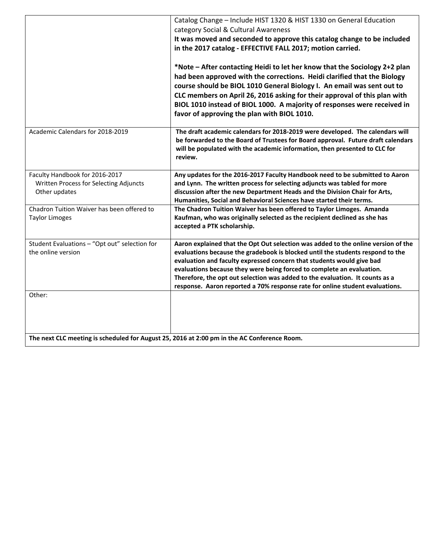|                                                                                             | Catalog Change - Include HIST 1320 & HIST 1330 on General Education                                                                                                                                                                                                                                                                                                                                                                                                                   |
|---------------------------------------------------------------------------------------------|---------------------------------------------------------------------------------------------------------------------------------------------------------------------------------------------------------------------------------------------------------------------------------------------------------------------------------------------------------------------------------------------------------------------------------------------------------------------------------------|
|                                                                                             | category Social & Cultural Awareness                                                                                                                                                                                                                                                                                                                                                                                                                                                  |
|                                                                                             | It was moved and seconded to approve this catalog change to be included                                                                                                                                                                                                                                                                                                                                                                                                               |
|                                                                                             | in the 2017 catalog - EFFECTIVE FALL 2017; motion carried.                                                                                                                                                                                                                                                                                                                                                                                                                            |
|                                                                                             | *Note – After contacting Heidi to let her know that the Sociology 2+2 plan<br>had been approved with the corrections. Heidi clarified that the Biology<br>course should be BIOL 1010 General Biology I. An email was sent out to<br>CLC members on April 26, 2016 asking for their approval of this plan with<br>BIOL 1010 instead of BIOL 1000. A majority of responses were received in<br>favor of approving the plan with BIOL 1010.                                              |
| Academic Calendars for 2018-2019                                                            | The draft academic calendars for 2018-2019 were developed. The calendars will<br>be forwarded to the Board of Trustees for Board approval. Future draft calendars<br>will be populated with the academic information, then presented to CLC for<br>review.                                                                                                                                                                                                                            |
| Faculty Handbook for 2016-2017                                                              | Any updates for the 2016-2017 Faculty Handbook need to be submitted to Aaron                                                                                                                                                                                                                                                                                                                                                                                                          |
| Written Process for Selecting Adjuncts                                                      | and Lynn. The written process for selecting adjuncts was tabled for more                                                                                                                                                                                                                                                                                                                                                                                                              |
| Other updates                                                                               | discussion after the new Department Heads and the Division Chair for Arts,                                                                                                                                                                                                                                                                                                                                                                                                            |
|                                                                                             | Humanities, Social and Behavioral Sciences have started their terms.                                                                                                                                                                                                                                                                                                                                                                                                                  |
| Chadron Tuition Waiver has been offered to<br><b>Taylor Limoges</b>                         | The Chadron Tuition Waiver has been offered to Taylor Limoges. Amanda<br>Kaufman, who was originally selected as the recipient declined as she has<br>accepted a PTK scholarship.                                                                                                                                                                                                                                                                                                     |
| Student Evaluations - "Opt out" selection for<br>the online version                         | Aaron explained that the Opt Out selection was added to the online version of the<br>evaluations because the gradebook is blocked until the students respond to the<br>evaluation and faculty expressed concern that students would give bad<br>evaluations because they were being forced to complete an evaluation.<br>Therefore, the opt out selection was added to the evaluation. It counts as a<br>response. Aaron reported a 70% response rate for online student evaluations. |
| Other:                                                                                      |                                                                                                                                                                                                                                                                                                                                                                                                                                                                                       |
|                                                                                             |                                                                                                                                                                                                                                                                                                                                                                                                                                                                                       |
|                                                                                             |                                                                                                                                                                                                                                                                                                                                                                                                                                                                                       |
| The next CLC meeting is scheduled for August 25, 2016 at 2:00 pm in the AC Conference Room. |                                                                                                                                                                                                                                                                                                                                                                                                                                                                                       |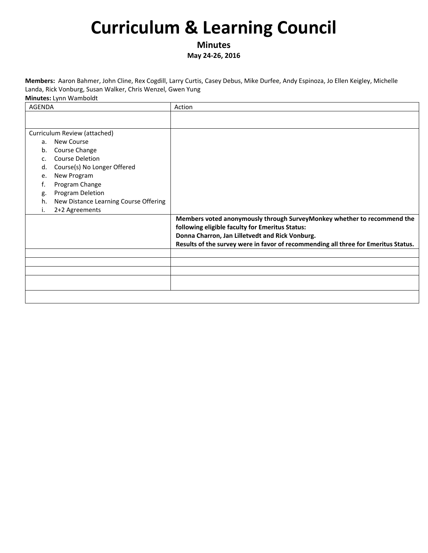**Minutes**

**May 24‐26, 2016**

**Members:** Aaron Bahmer, John Cline, Rex Cogdill, Larry Curtis, Casey Debus, Mike Durfee, Andy Espinoza, Jo Ellen Keigley, Michelle Landa, Rick Vonburg, Susan Walker, Chris Wenzel, Gwen Yung

| AGENDA |                                       | Action                                                                             |
|--------|---------------------------------------|------------------------------------------------------------------------------------|
|        |                                       |                                                                                    |
|        |                                       |                                                                                    |
|        | Curriculum Review (attached)          |                                                                                    |
| a.     | New Course                            |                                                                                    |
| b.     | Course Change                         |                                                                                    |
| c.     | <b>Course Deletion</b>                |                                                                                    |
| d.     | Course(s) No Longer Offered           |                                                                                    |
| e.     | New Program                           |                                                                                    |
| f.     | Program Change                        |                                                                                    |
| g.     | Program Deletion                      |                                                                                    |
| h.     | New Distance Learning Course Offering |                                                                                    |
|        | 2+2 Agreements                        |                                                                                    |
|        |                                       | Members voted anonymously through SurveyMonkey whether to recommend the            |
|        |                                       | following eligible faculty for Emeritus Status:                                    |
|        |                                       | Donna Charron, Jan Lilletvedt and Rick Vonburg.                                    |
|        |                                       | Results of the survey were in favor of recommending all three for Emeritus Status. |
|        |                                       |                                                                                    |
|        |                                       |                                                                                    |
|        |                                       |                                                                                    |
|        |                                       |                                                                                    |
|        |                                       |                                                                                    |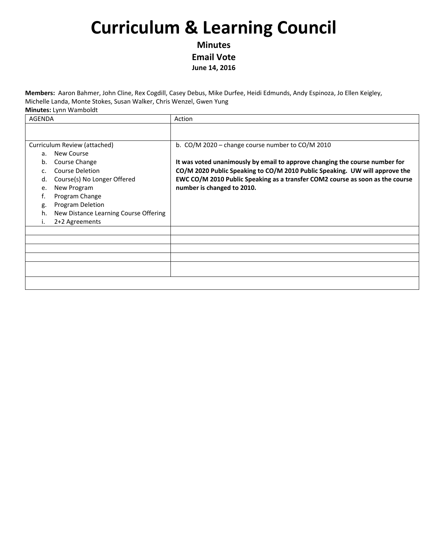**Minutes Email Vote June 14, 2016**

**Members:** Aaron Bahmer, John Cline, Rex Cogdill, Casey Debus, Mike Durfee, Heidi Edmunds, Andy Espinoza, Jo Ellen Keigley, Michelle Landa, Monte Stokes, Susan Walker, Chris Wenzel, Gwen Yung **Minutes:** Lynn Wamboldt

| <b>AGENDA</b>                               | Action                                                                        |
|---------------------------------------------|-------------------------------------------------------------------------------|
|                                             |                                                                               |
| Curriculum Review (attached)                | b. CO/M 2020 - change course number to CO/M 2010                              |
| New Course<br>a.                            |                                                                               |
| Course Change<br>b.                         | It was voted unanimously by email to approve changing the course number for   |
| <b>Course Deletion</b><br>C.                | CO/M 2020 Public Speaking to CO/M 2010 Public Speaking. UW will approve the   |
| Course(s) No Longer Offered<br>d.           | EWC CO/M 2010 Public Speaking as a transfer COM2 course as soon as the course |
| New Program<br>e.                           | number is changed to 2010.                                                    |
| f.<br>Program Change                        |                                                                               |
| Program Deletion<br>g.                      |                                                                               |
| New Distance Learning Course Offering<br>h. |                                                                               |
| 2+2 Agreements<br>i.                        |                                                                               |
|                                             |                                                                               |
|                                             |                                                                               |
|                                             |                                                                               |
|                                             |                                                                               |
|                                             |                                                                               |
|                                             |                                                                               |
|                                             |                                                                               |